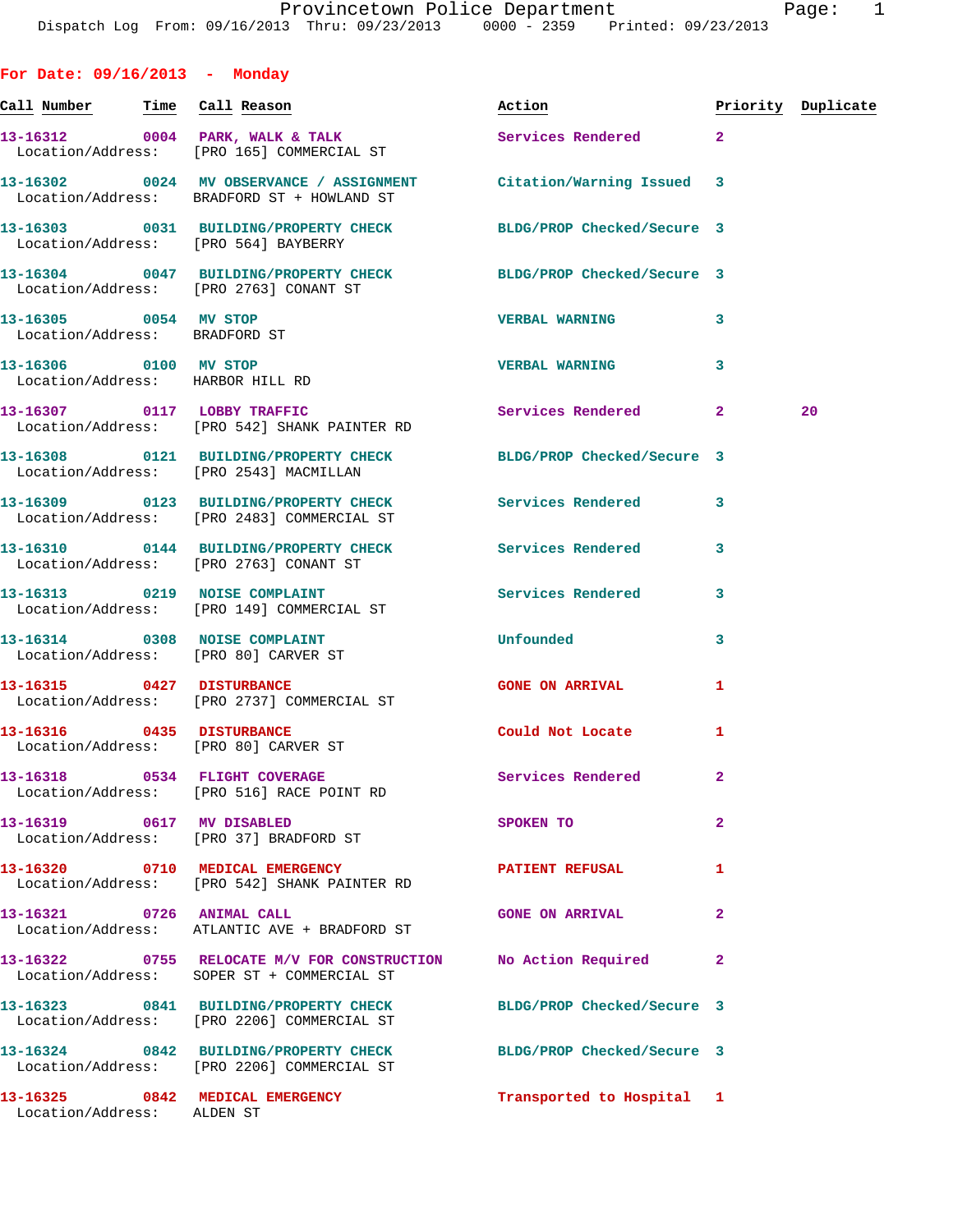**For Date: 09/16/2013 - Monday** Call Number **Time** Call Reason **Reason Burner** Action **Priority Duplicate** 13-16312 0004 PARK, WALK & TALK Services Rendered 2 Location/Address: [PRO 165] COMMERCIAL ST **13-16302 0024 MV OBSERVANCE / ASSIGNMENT Citation/Warning Issued 3**  Location/Address: BRADFORD ST + HOWLAND ST **13-16303 0031 BUILDING/PROPERTY CHECK BLDG/PROP Checked/Secure 3**  Location/Address: [PRO 564] BAYBERRY **13-16304 0047 BUILDING/PROPERTY CHECK BLDG/PROP Checked/Secure 3**  Location/Address: [PRO 2763] CONANT ST **13-16305 0054 MV STOP VERBAL WARNING 3**  Location/Address: BRADFORD ST **13-16306 0100 MV STOP VERBAL WARNING 3**  Location/Address: HARBOR HILL RD **13-16307 0117 LOBBY TRAFFIC Services Rendered 2 20**  Location/Address: [PRO 542] SHANK PAINTER RD **13-16308 0121 BUILDING/PROPERTY CHECK BLDG/PROP Checked/Secure 3**  Location/Address: [PRO 2543] MACMILLAN **13-16309 0123 BUILDING/PROPERTY CHECK Services Rendered 3**  Location/Address: [PRO 2483] COMMERCIAL ST **13-16310 0144 BUILDING/PROPERTY CHECK Services Rendered 3**  Location/Address: [PRO 2763] CONANT ST 13-16313 0219 NOISE COMPLAINT **13-16313** Services Rendered 3 Location/Address: [PRO 149] COMMERCIAL ST **13-16314 0308 NOISE COMPLAINT Unfounded 3**  Location/Address: [PRO 80] CARVER ST **13-16315** 0427 DISTURBANCE GONE ON ARRIVAL 1 Location/Address: [PRO 2737] COMMERCIAL ST **13-16316 0435 DISTURBANCE Could Not Locate 1**  Location/Address: [PRO 80] CARVER ST **13-16318 0534 FLIGHT COVERAGE Services Rendered 2**  Location/Address: [PRO 516] RACE POINT RD **13-16319 0617 MV DISABLED SPOKEN TO 2**  Location/Address: [PRO 37] BRADFORD ST **13-16320 0710 MEDICAL EMERGENCY PATIENT REFUSAL 1**  Location/Address: [PRO 542] SHANK PAINTER RD **13-16321 0726 ANIMAL CALL GONE ON ARRIVAL 2**  Location/Address: ATLANTIC AVE + BRADFORD ST 13-16322 0755 RELOCATE M/V FOR CONSTRUCTION No Action Required Location/Address: SOPER ST + COMMERCIAL ST **13-16323 0841 BUILDING/PROPERTY CHECK BLDG/PROP Checked/Secure 3**  Location/Address: [PRO 2206] COMMERCIAL ST **13-16324 0842 BUILDING/PROPERTY CHECK BLDG/PROP Checked/Secure 3**  Location/Address: [PRO 2206] COMMERCIAL ST

**13-16325 0842 MEDICAL EMERGENCY Transported to Hospital 1**  Location/Address: ALDEN ST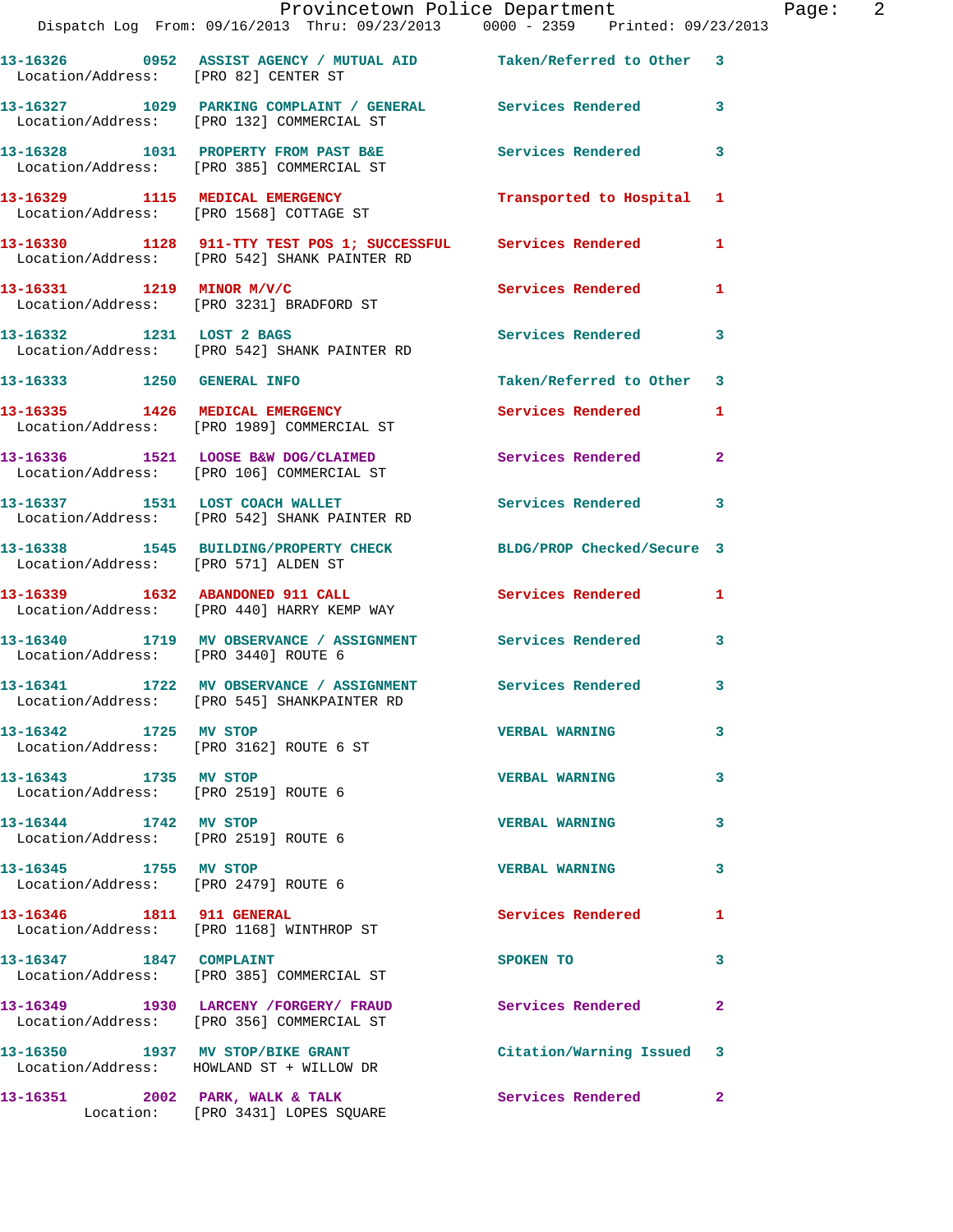|                                                               | Provincetown Police Department<br>Dispatch Log From: 09/16/2013 Thru: 09/23/2013 0000 - 2359 Printed: 09/23/2013 |                          |                |
|---------------------------------------------------------------|------------------------------------------------------------------------------------------------------------------|--------------------------|----------------|
| Location/Address: [PRO 82] CENTER ST                          | 13-16326 0952 ASSIST AGENCY / MUTUAL AID Taken/Referred to Other 3                                               |                          |                |
|                                                               | 13-16327 1029 PARKING COMPLAINT / GENERAL Services Rendered<br>Location/Address: [PRO 132] COMMERCIAL ST         |                          | 3              |
|                                                               | 13-16328 1031 PROPERTY FROM PAST B&E<br>Location/Address: [PRO 385] COMMERCIAL ST                                | <b>Services Rendered</b> | 3              |
|                                                               | 13-16329 1115 MEDICAL EMERGENCY<br>Location/Address: [PRO 1568] COTTAGE ST                                       | Transported to Hospital  | 1              |
|                                                               | 13-16330 1128 911-TTY TEST POS 1; SUCCESSFUL Services Rendered<br>Location/Address: [PRO 542] SHANK PAINTER RD   |                          | 1              |
| 13-16331 1219 MINOR M/V/C                                     | Location/Address: [PRO 3231] BRADFORD ST                                                                         | <b>Services Rendered</b> | 1              |
|                                                               | 13-16332 1231 LOST 2 BAGS<br>Location/Address: [PRO 542] SHANK PAINTER RD                                        | <b>Services Rendered</b> | 3              |
| 13-16333 1250 GENERAL INFO                                    |                                                                                                                  | Taken/Referred to Other  | 3              |
|                                                               | 13-16335 1426 MEDICAL EMERGENCY<br>Location/Address: [PRO 1989] COMMERCIAL ST                                    | Services Rendered        | 1              |
|                                                               | 13-16336 1521 LOOSE B&W DOG/CLAIMED<br>Location/Address: [PRO 106] COMMERCIAL ST                                 | Services Rendered        | $\overline{a}$ |
|                                                               | 13-16337 1531 LOST COACH WALLET<br>Location/Address: [PRO 542] SHANK PAINTER RD                                  | <b>Services Rendered</b> | 3              |
| Location/Address: [PRO 571] ALDEN ST                          | 13-16338 1545 BUILDING/PROPERTY CHECK BLDG/PROP Checked/Secure 3                                                 |                          |                |
|                                                               | 13-16339 1632 ABANDONED 911 CALL<br>Location/Address: [PRO 440] HARRY KEMP WAY                                   | <b>Services Rendered</b> | 1              |
| Location/Address: [PRO 3440] ROUTE 6                          | 13-16340 1719 MV OBSERVANCE / ASSIGNMENT Services Rendered                                                       |                          | 3              |
|                                                               | 13-16341 1722 MV OBSERVANCE / ASSIGNMENT<br>Location/Address: [PRO 545] SHANKPAINTER RD                          | <b>Services Rendered</b> | 3              |
| 13-16342 1725 MV STOP                                         | Location/Address: [PRO 3162] ROUTE 6 ST                                                                          | <b>VERBAL WARNING</b>    | 3              |
| 13-16343 1735 MV STOP<br>Location/Address: [PRO 2519] ROUTE 6 |                                                                                                                  | <b>VERBAL WARNING</b>    | 3              |
| 13-16344 1742 MV STOP<br>Location/Address: [PRO 2519] ROUTE 6 |                                                                                                                  | <b>VERBAL WARNING</b>    | 3              |
| 13-16345 1755 MV STOP<br>Location/Address: [PRO 2479] ROUTE 6 |                                                                                                                  | <b>VERBAL WARNING</b>    | 3              |
| 13-16346 1811 911 GENERAL                                     | Location/Address: [PRO 1168] WINTHROP ST                                                                         | Services Rendered        | 1              |
|                                                               | 13-16347 1847 COMPLAINT<br>Location/Address: [PRO 385] COMMERCIAL ST                                             | SPOKEN TO                | 3              |
|                                                               | 13-16349 1930 LARCENY /FORGERY / FRAUD Services Rendered<br>Location/Address: [PRO 356] COMMERCIAL ST            |                          | $\mathbf{2}$   |
|                                                               | 13-16350 1937 MV STOP/BIKE GRANT<br>Location/Address: HOWLAND ST + WILLOW DR                                     | Citation/Warning Issued  | 3              |
| 13-16351 2002 PARK, WALK & TALK                               | Location: [PRO 3431] LOPES SQUARE                                                                                | <b>Services Rendered</b> | $\overline{2}$ |

Page: 2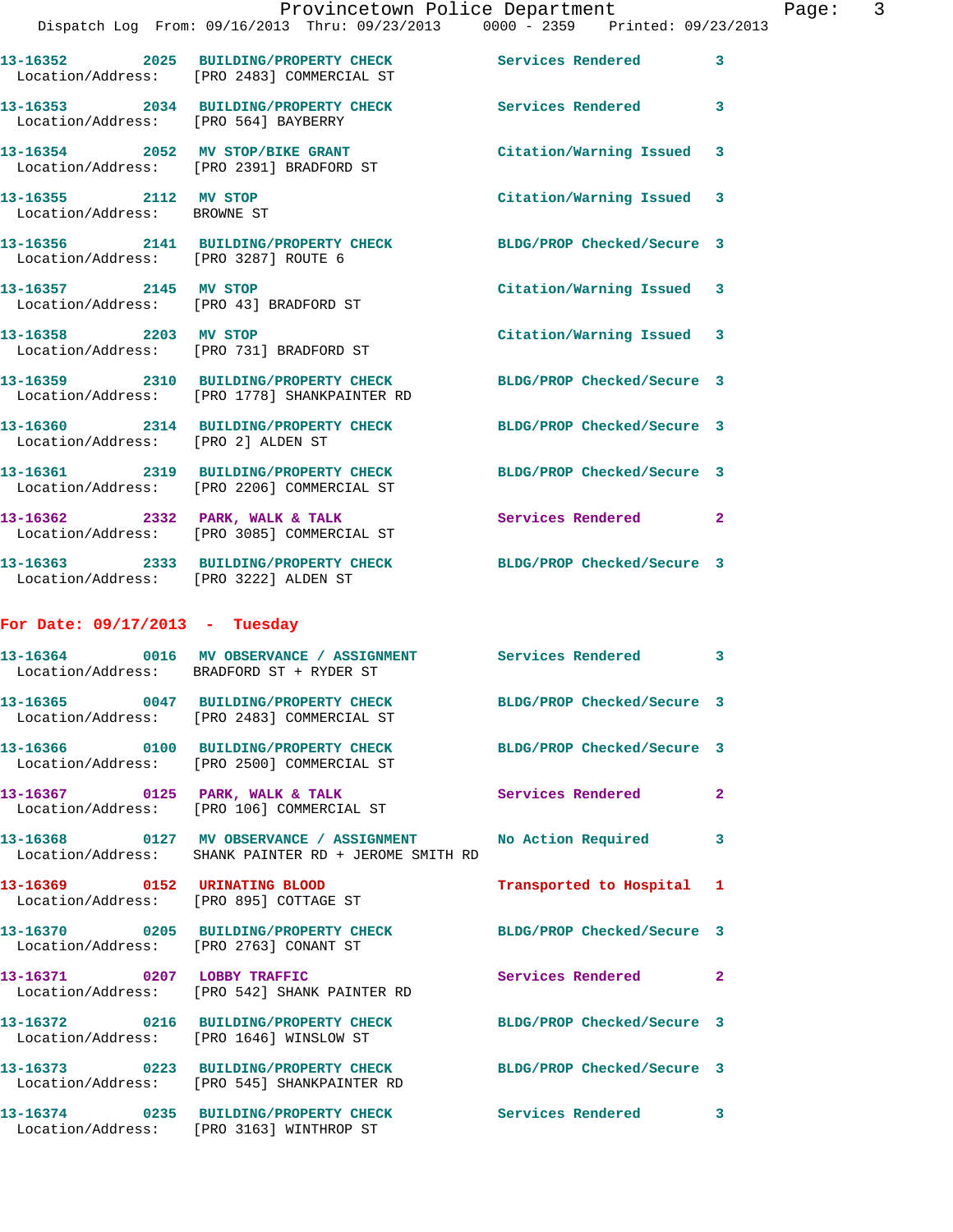|                                                                  | Provincetown Police Department<br>Dispatch Log From: 09/16/2013 Thru: 09/23/2013 0000 - 2359 Printed: 09/23/2013    |                            |                |
|------------------------------------------------------------------|---------------------------------------------------------------------------------------------------------------------|----------------------------|----------------|
|                                                                  |                                                                                                                     |                            |                |
|                                                                  | 13-16352 2025 BUILDING/PROPERTY CHECK<br>Location/Address: [PRO 2483] COMMERCIAL ST                                 | <b>Services Rendered</b>   | 3              |
| Location/Address: [PRO 564] BAYBERRY                             | 13-16353 2034 BUILDING/PROPERTY CHECK                                                                               | <b>Services Rendered</b>   | 3              |
|                                                                  | 13-16354 2052 MV STOP/BIKE GRANT<br>Location/Address: [PRO 2391] BRADFORD ST                                        | Citation/Warning Issued    | 3              |
| 13-16355 2112 MV STOP<br>Location/Address: BROWNE ST             |                                                                                                                     | Citation/Warning Issued    | 3              |
| Location/Address: [PRO 3287] ROUTE 6                             | 13-16356 2141 BUILDING/PROPERTY CHECK                                                                               | BLDG/PROP Checked/Secure 3 |                |
| 13-16357 2145 MV STOP                                            | Location/Address: [PRO 43] BRADFORD ST                                                                              | Citation/Warning Issued    | 3              |
| 13-16358 2203 MV STOP<br>Location/Address: [PRO 731] BRADFORD ST |                                                                                                                     | Citation/Warning Issued    | 3              |
|                                                                  | 13-16359 2310 BUILDING/PROPERTY CHECK BLDG/PROP Checked/Secure 3<br>Location/Address: [PRO 1778] SHANKPAINTER RD    |                            |                |
| Location/Address: [PRO 2] ALDEN ST                               | 13-16360 2314 BUILDING/PROPERTY CHECK                                                                               | BLDG/PROP Checked/Secure 3 |                |
|                                                                  | 13-16361 2319 BUILDING/PROPERTY CHECK<br>Location/Address: [PRO 2206] COMMERCIAL ST                                 | BLDG/PROP Checked/Secure 3 |                |
|                                                                  | 13-16362 2332 PARK, WALK & TALK<br>Location/Address: [PRO 3085] COMMERCIAL ST                                       | <b>Services Rendered</b>   | $\overline{2}$ |
| Location/Address: [PRO 3222] ALDEN ST                            | 13-16363 2333 BUILDING/PROPERTY CHECK                                                                               | BLDG/PROP Checked/Secure 3 |                |
| For Date: $09/17/2013$ - Tuesday                                 |                                                                                                                     |                            |                |
|                                                                  | 13-16364 0016 MV OBSERVANCE / ASSIGNMENT Services Rendered<br>Location/Address: BRADFORD ST + RYDER ST              |                            | 3              |
|                                                                  | 13-16365 0047 BUILDING/PROPERTY CHECK<br>Location/Address: [PRO 2483] COMMERCIAL ST                                 | BLDG/PROP Checked/Secure 3 |                |
|                                                                  | 13-16366 0100 BUILDING/PROPERTY CHECK BLDG/PROP Checked/Secure 3<br>Location/Address: [PRO 2500] COMMERCIAL ST      |                            |                |
| 13-16367 0125 PARK, WALK & TALK                                  | Location/Address: [PRO 106] COMMERCIAL ST                                                                           | <b>Services Rendered</b>   | $\overline{a}$ |
|                                                                  | 13-16368 0127 MV OBSERVANCE / ASSIGNMENT No Action Required<br>Location/Address: SHANK PAINTER RD + JEROME SMITH RD |                            | 3              |
| 13-16369 0152 URINATING BLOOD                                    | Location/Address: [PRO 895] COTTAGE ST                                                                              | Transported to Hospital    | 1              |
| Location/Address: [PRO 2763] CONANT ST                           | 13-16370 0205 BUILDING/PROPERTY CHECK                                                                               | BLDG/PROP Checked/Secure 3 |                |
| 13-16371 0207 LOBBY TRAFFIC                                      | Location/Address: [PRO 542] SHANK PAINTER RD                                                                        | Services Rendered          | $\mathbf{2}$   |
| Location/Address: [PRO 1646] WINSLOW ST                          | 13-16372 0216 BUILDING/PROPERTY CHECK BLDG/PROP Checked/Secure 3                                                    |                            |                |
|                                                                  | 13-16373 0223 BUILDING/PROPERTY CHECK<br>Location/Address: [PRO 545] SHANKPAINTER RD                                | BLDG/PROP Checked/Secure 3 |                |
|                                                                  | 13-16374 0235 BUILDING/PROPERTY CHECK                                                                               | Services Rendered          | 3              |

Location/Address: [PRO 3163] WINTHROP ST

Page:  $3$ <br>013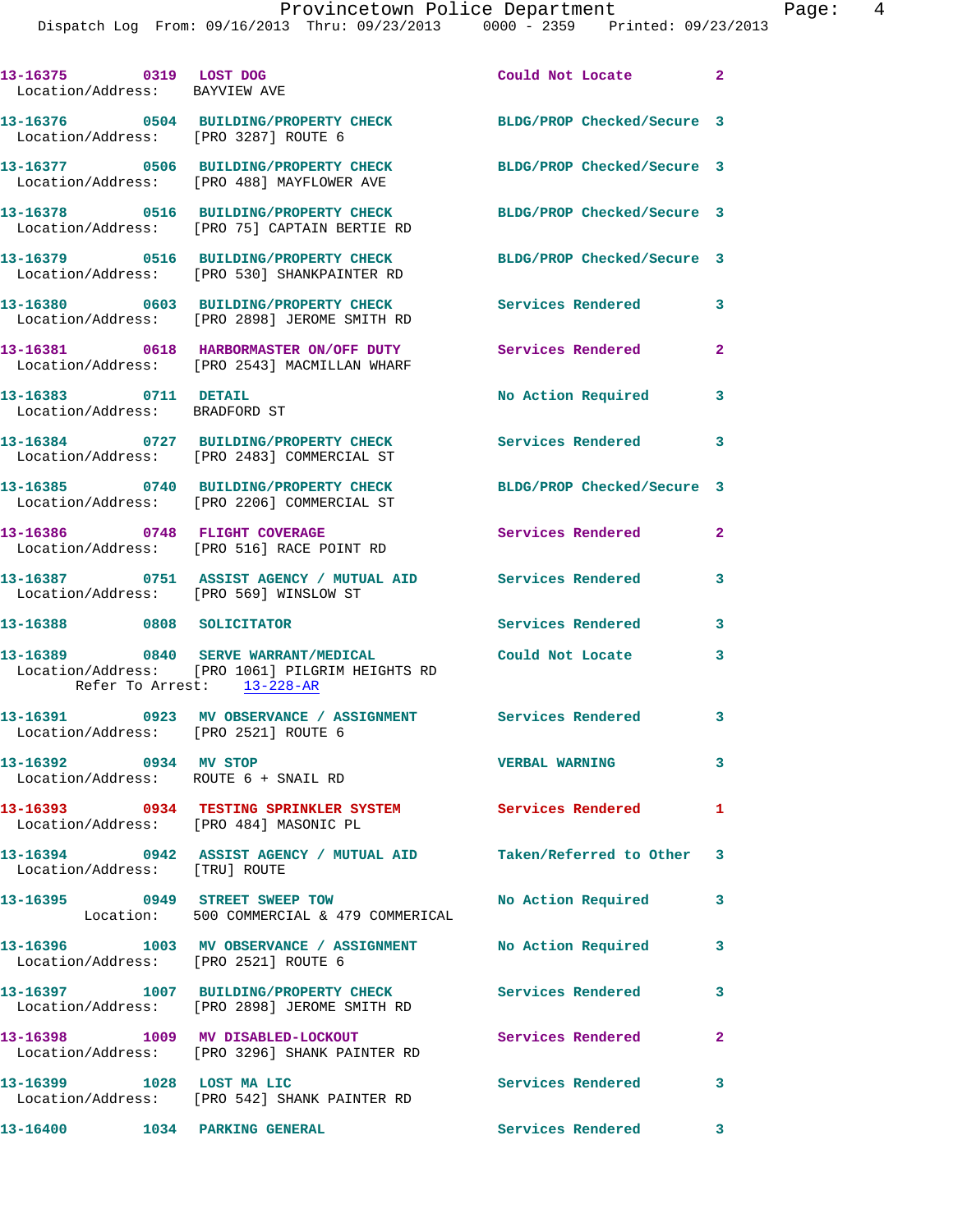Dispatch Log From: 09/16/2013 Thru: 09/23/2013 0000 - 2359 Printed: 09/23/2013

| 13-16375 0319 LOST DOG<br>Location/Address: BAYVIEW AVE |                                                                                                                      | Could Not Locate 2         |                |
|---------------------------------------------------------|----------------------------------------------------------------------------------------------------------------------|----------------------------|----------------|
|                                                         | 13-16376 0504 BUILDING/PROPERTY CHECK<br>Location/Address: [PRO 3287] ROUTE 6                                        | BLDG/PROP Checked/Secure 3 |                |
|                                                         | 13-16377 0506 BUILDING/PROPERTY CHECK<br>Location/Address: [PRO 488] MAYFLOWER AVE                                   | BLDG/PROP Checked/Secure 3 |                |
|                                                         | 13-16378 0516 BUILDING/PROPERTY CHECK<br>Location/Address: [PRO 75] CAPTAIN BERTIE RD                                | BLDG/PROP Checked/Secure 3 |                |
|                                                         | 13-16379 0516 BUILDING/PROPERTY CHECK<br>Location/Address: [PRO 530] SHANKPAINTER RD                                 | BLDG/PROP Checked/Secure 3 |                |
|                                                         | 13-16380 0603 BUILDING/PROPERTY CHECK<br>Location/Address: [PRO 2898] JEROME SMITH RD                                | Services Rendered          | 3              |
|                                                         | 13-16381 0618 HARBORMASTER ON/OFF DUTY<br>Location/Address: [PRO 2543] MACMILLAN WHARF                               | Services Rendered          | $\overline{2}$ |
| 13-16383 0711 DETAIL<br>Location/Address: BRADFORD ST   |                                                                                                                      | No Action Required         | 3              |
|                                                         | 13-16384 0727 BUILDING/PROPERTY CHECK<br>Location/Address: [PRO 2483] COMMERCIAL ST                                  | <b>Services Rendered</b>   | 3              |
|                                                         | 13-16385 0740 BUILDING/PROPERTY CHECK<br>Location/Address: [PRO 2206] COMMERCIAL ST                                  | BLDG/PROP Checked/Secure 3 |                |
|                                                         | 13-16386 0748 FLIGHT COVERAGE<br>Location/Address: [PRO 516] RACE POINT RD                                           | Services Rendered          | $\overline{a}$ |
|                                                         | 13-16387 0751 ASSIST AGENCY / MUTUAL AID<br>Location/Address: [PRO 569] WINSLOW ST                                   | <b>Services Rendered</b>   | 3              |
| 13-16388 0808 SOLICITATOR                               |                                                                                                                      | Services Rendered          | 3              |
|                                                         | 13-16389 0840 SERVE WARRANT/MEDICAL<br>Location/Address: [PRO 1061] PILGRIM HEIGHTS RD<br>Refer To Arrest: 13-228-AR | Could Not Locate           | 3              |
|                                                         | 13-16391 0923 MV OBSERVANCE / ASSIGNMENT Services Rendered<br>Location/Address: [PRO 2521] ROUTE 6                   |                            | 3              |
| 13-16392                                                | 0934 MV STOP<br>Location/Address: ROUTE 6 + SNAIL RD                                                                 | <b>VERBAL WARNING</b>      | 3              |
|                                                         | 13-16393 0934 TESTING SPRINKLER SYSTEM Services Rendered<br>Location/Address: [PRO 484] MASONIC PL                   |                            | 1              |
| Location/Address: [TRU] ROUTE                           | 13-16394 0942 ASSIST AGENCY / MUTUAL AID Taken/Referred to Other 3                                                   |                            |                |
|                                                         | 13-16395 0949 STREET SWEEP TOW<br>Location: 500 COMMERCIAL & 479 COMMERICAL                                          | No Action Required         | 3              |
|                                                         | 13-16396 1003 MV OBSERVANCE / ASSIGNMENT No Action Required<br>Location/Address: [PRO 2521] ROUTE 6                  |                            | 3              |
|                                                         | 13-16397 1007 BUILDING/PROPERTY CHECK Services Rendered<br>Location/Address: [PRO 2898] JEROME SMITH RD              |                            | 3              |
|                                                         | 13-16398 1009 MV DISABLED-LOCKOUT<br>Location/Address: [PRO 3296] SHANK PAINTER RD                                   | Services Rendered          | $\mathbf{2}$   |
| 13-16399 1028 LOST MA LIC                               | Location/Address: [PRO 542] SHANK PAINTER RD                                                                         | <b>Services Rendered</b>   | 3              |
|                                                         | 13-16400 1034 PARKING GENERAL                                                                                        | Services Rendered          | 3              |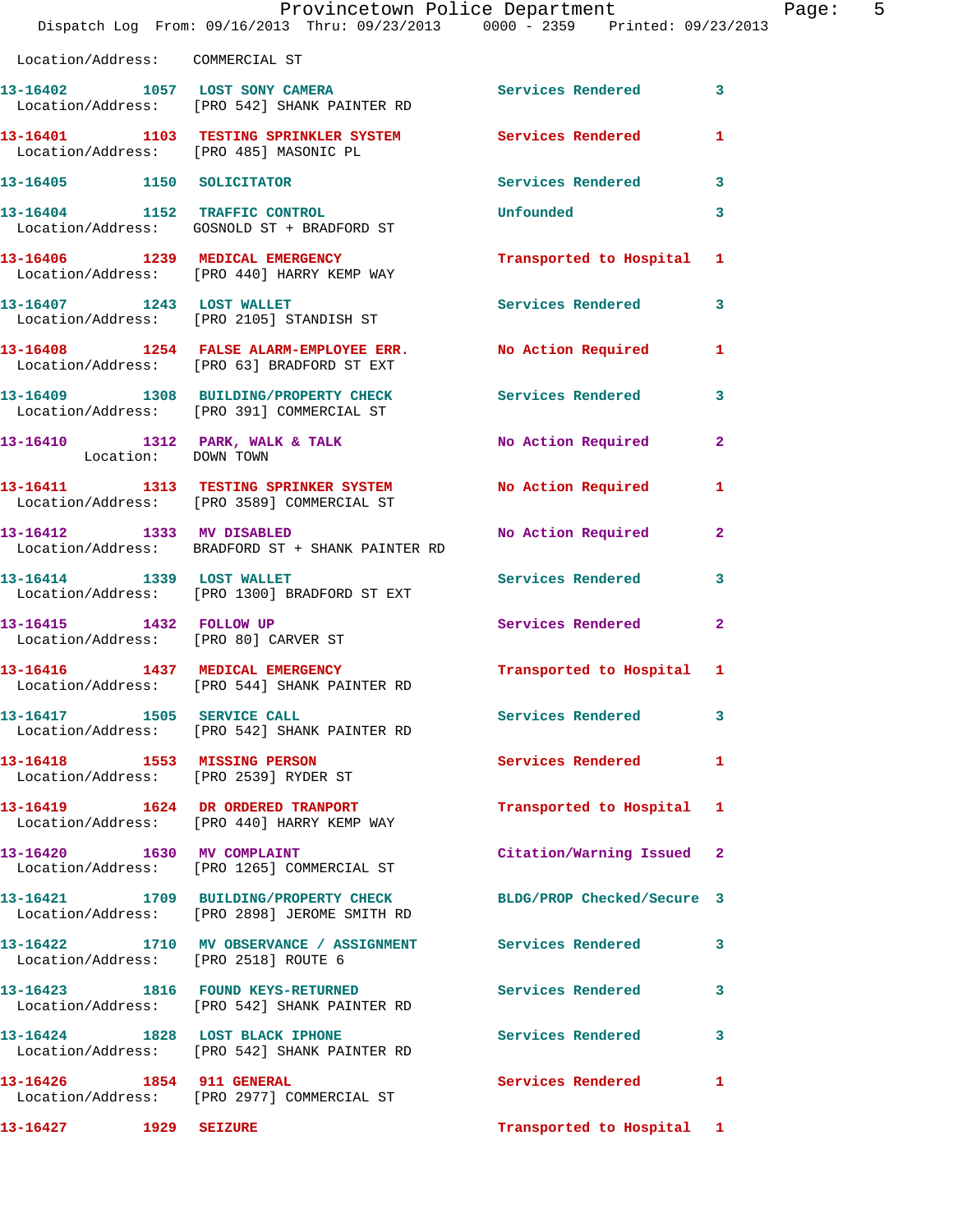|                     | Provincetown Police Department<br>Dispatch Log From: 09/16/2013 Thru: 09/23/2013 0000 - 2359 Printed: 09/23/2013 |                            |              |
|---------------------|------------------------------------------------------------------------------------------------------------------|----------------------------|--------------|
|                     | Location/Address: COMMERCIAL ST                                                                                  |                            |              |
|                     | 13-16402 1057 LOST SONY CAMERA Services Rendered<br>Location/Address: [PRO 542] SHANK PAINTER RD                 |                            | 3            |
|                     | 13-16401 1103 TESTING SPRINKLER SYSTEM<br>Location/Address: [PRO 485] MASONIC PL                                 | <b>Services Rendered</b>   | 1            |
|                     | 13-16405 1150 SOLICITATOR                                                                                        | <b>Services Rendered</b>   | 3            |
|                     | 13-16404 1152 TRAFFIC CONTROL<br>Location/Address: GOSNOLD ST + BRADFORD ST                                      | Unfounded                  | 3            |
|                     | 13-16406 1239 MEDICAL EMERGENCY<br>Location/Address: [PRO 440] HARRY KEMP WAY                                    | Transported to Hospital    | 1            |
|                     | 13-16407 1243 LOST WALLET<br>Location/Address: [PRO 2105] STANDISH ST                                            | <b>Services Rendered</b>   | 3            |
|                     | 13-16408 1254 FALSE ALARM-EMPLOYEE ERR.<br>Location/Address: [PRO 63] BRADFORD ST EXT                            | No Action Required         | 1            |
|                     | 13-16409 1308 BUILDING/PROPERTY CHECK<br>Location/Address: [PRO 391] COMMERCIAL ST                               | Services Rendered          | 3            |
| Location: DOWN TOWN | 13-16410 1312 PARK, WALK & TALK                                                                                  | No Action Required         | $\mathbf{2}$ |
|                     | 13-16411 1313 TESTING SPRINKER SYSTEM<br>Location/Address: [PRO 3589] COMMERCIAL ST                              | <b>No Action Required</b>  | 1            |
|                     | 13-16412 1333 MV DISABLED<br>Location/Address: BRADFORD ST + SHANK PAINTER RD                                    | No Action Required         | $\mathbf{2}$ |
|                     | 13-16414 1339 LOST WALLET<br>Location/Address: [PRO 1300] BRADFORD ST EXT                                        | <b>Services Rendered</b>   | 3            |
|                     | 13-16415   1432   FOLLOW UP<br>Location/Address: [PRO 80] CARVER ST                                              | Services Rendered          | $\mathbf{2}$ |
|                     | 13-16416 1437 MEDICAL EMERGENCY<br>Location/Address: [PRO 544] SHANK PAINTER RD                                  | Transported to Hospital 1  |              |
|                     | 13-16417 1505 SERVICE CALL<br>Location/Address: [PRO 542] SHANK PAINTER RD                                       | Services Rendered          | 3            |
|                     | 13-16418 1553 MISSING PERSON<br>Location/Address: [PRO 2539] RYDER ST                                            | <b>Services Rendered</b>   | 1            |
|                     | 13-16419 1624 DR ORDERED TRANPORT<br>Location/Address: [PRO 440] HARRY KEMP WAY                                  | Transported to Hospital    | 1            |
|                     | 13-16420   1630   MV COMPLAINT<br>Location/Address: [PRO 1265] COMMERCIAL ST                                     | Citation/Warning Issued    | $\mathbf{2}$ |
|                     | 13-16421 1709 BUILDING/PROPERTY CHECK<br>Location/Address: [PRO 2898] JEROME SMITH RD                            | BLDG/PROP Checked/Secure 3 |              |
|                     | 13-16422 1710 MV OBSERVANCE / ASSIGNMENT Services Rendered<br>Location/Address: [PRO 2518] ROUTE 6               |                            | 3            |
|                     | 13-16423 1816 FOUND KEYS-RETURNED<br>Location/Address: [PRO 542] SHANK PAINTER RD                                | Services Rendered          | 3            |
|                     | 13-16424 1828 LOST BLACK IPHONE<br>Location/Address: [PRO 542] SHANK PAINTER RD                                  | <b>Services Rendered</b>   | 3            |
|                     | 13-16426 1854 911 GENERAL<br>Location/Address: [PRO 2977] COMMERCIAL ST                                          | Services Rendered          | 1            |
|                     |                                                                                                                  | Transported to Hospital 1  |              |

Page: 5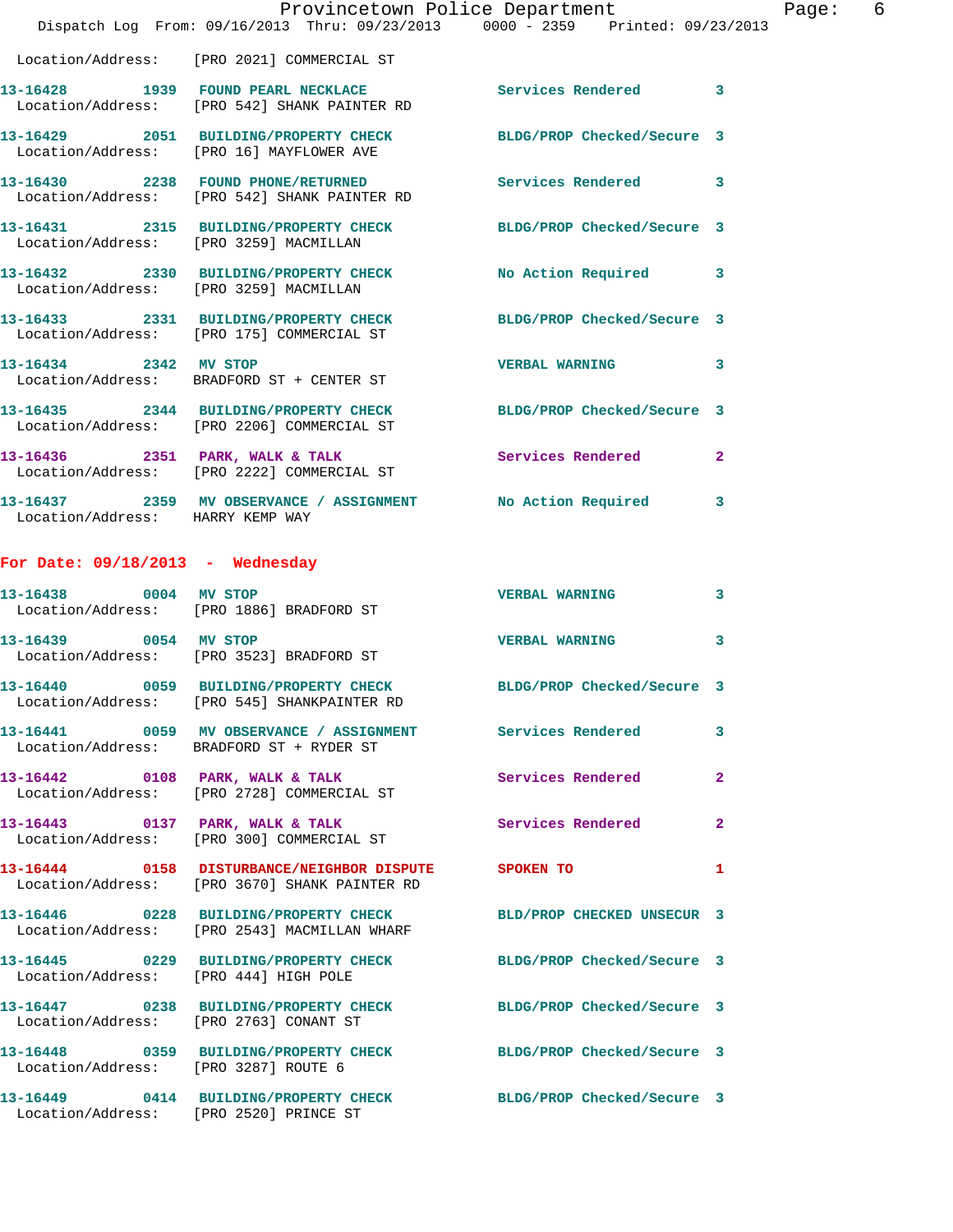|                                       | Provincetown Police Department<br>Dispatch Log From: 09/16/2013 Thru: 09/23/2013 0000 - 2359 Printed: 09/23/2013 |                            |              |
|---------------------------------------|------------------------------------------------------------------------------------------------------------------|----------------------------|--------------|
|                                       | Location/Address: [PRO 2021] COMMERCIAL ST                                                                       |                            |              |
|                                       | 13-16428 1939 FOUND PEARL NECKLACE Services Rendered 3<br>Location/Address: [PRO 542] SHANK PAINTER RD           |                            |              |
|                                       | 13-16429 2051 BUILDING/PROPERTY CHECK BLDG/PROP Checked/Secure 3<br>Location/Address: [PRO 16] MAYFLOWER AVE     |                            |              |
|                                       | 13-16430 2238 FOUND PHONE/RETURNED Services Rendered 3<br>Location/Address: [PRO 542] SHANK PAINTER RD           |                            |              |
|                                       | 13-16431 2315 BUILDING/PROPERTY CHECK BLDG/PROP Checked/Secure 3<br>Location/Address: [PRO 3259] MACMILLAN       |                            |              |
|                                       | 13-16432 2330 BUILDING/PROPERTY CHECK<br>Location/Address: [PRO 3259] MACMILLAN                                  | No Action Required 3       |              |
|                                       | 13-16433 2331 BUILDING/PROPERTY CHECK BLDG/PROP Checked/Secure 3<br>Location/Address: [PRO 175] COMMERCIAL ST    |                            |              |
| 13-16434 2342 MV STOP                 | Location/Address: BRADFORD ST + CENTER ST                                                                        | <b>VERBAL WARNING</b>      | 3            |
|                                       | 13-16435 2344 BUILDING/PROPERTY CHECK BLDG/PROP Checked/Secure 3<br>Location/Address: [PRO 2206] COMMERCIAL ST   |                            |              |
|                                       | 13-16436 2351 PARK, WALK & TALK<br>Location/Address: [PRO 2222] COMMERCIAL ST                                    | Services Rendered          | $\mathbf{2}$ |
| Location/Address: HARRY KEMP WAY      | 13-16437 2359 MV OBSERVANCE / ASSIGNMENT No Action Required                                                      |                            | 3            |
| For Date: $09/18/2013$ - Wednesday    |                                                                                                                  |                            |              |
| 13-16438 0004 MV STOP                 | Location/Address: [PRO 1886] BRADFORD ST                                                                         | <b>VERBAL WARNING</b>      | 3            |
| 13-16439 0054 MV STOP                 | Location/Address: [PRO 3523] BRADFORD ST                                                                         | VERBAL WARNING 3           |              |
| 13-16440                              | 0059 BUILDING/PROPERTY CHECK<br>Location/Address: [PRO 545] SHANKPAINTER RD                                      | BLDG/PROP Checked/Secure 3 |              |
|                                       | 13-16441 0059 MV OBSERVANCE / ASSIGNMENT Services Rendered<br>Location/Address: BRADFORD ST + RYDER ST           |                            | 3            |
|                                       | 13-16442 0108 PARK, WALK & TALK<br>Location/Address: [PRO 2728] COMMERCIAL ST                                    | Services Rendered          | $\mathbf{2}$ |
|                                       | 13-16443 0137 PARK, WALK & TALK<br>Location/Address: [PRO 300] COMMERCIAL ST                                     | Services Rendered 2        |              |
|                                       | 13-16444 0158 DISTURBANCE/NEIGHBOR DISPUTE<br>Location/Address: [PRO 3670] SHANK PAINTER RD                      | SPOKEN TO                  | 1            |
|                                       | 13-16446 0228 BUILDING/PROPERTY CHECK<br>Location/Address: [PRO 2543] MACMILLAN WHARF                            | BLD/PROP CHECKED UNSECUR 3 |              |
| Location/Address: [PRO 444] HIGH POLE | 13-16445 0229 BUILDING/PROPERTY CHECK BLDG/PROP Checked/Secure 3                                                 |                            |              |
|                                       | 13-16447 0238 BUILDING/PROPERTY CHECK BLDG/PROP Checked/Secure 3<br>Location/Address: [PRO 2763] CONANT ST       |                            |              |
| Location/Address: [PRO 3287] ROUTE 6  | 13-16448 0359 BUILDING/PROPERTY CHECK BLDG/PROP Checked/Secure 3                                                 |                            |              |
|                                       | 13-16449 0414 BUILDING/PROPERTY CHECK BLDG/PROP Checked/Secure 3<br>Location/Address: [PRO 2520] PRINCE ST       |                            |              |

Page: 6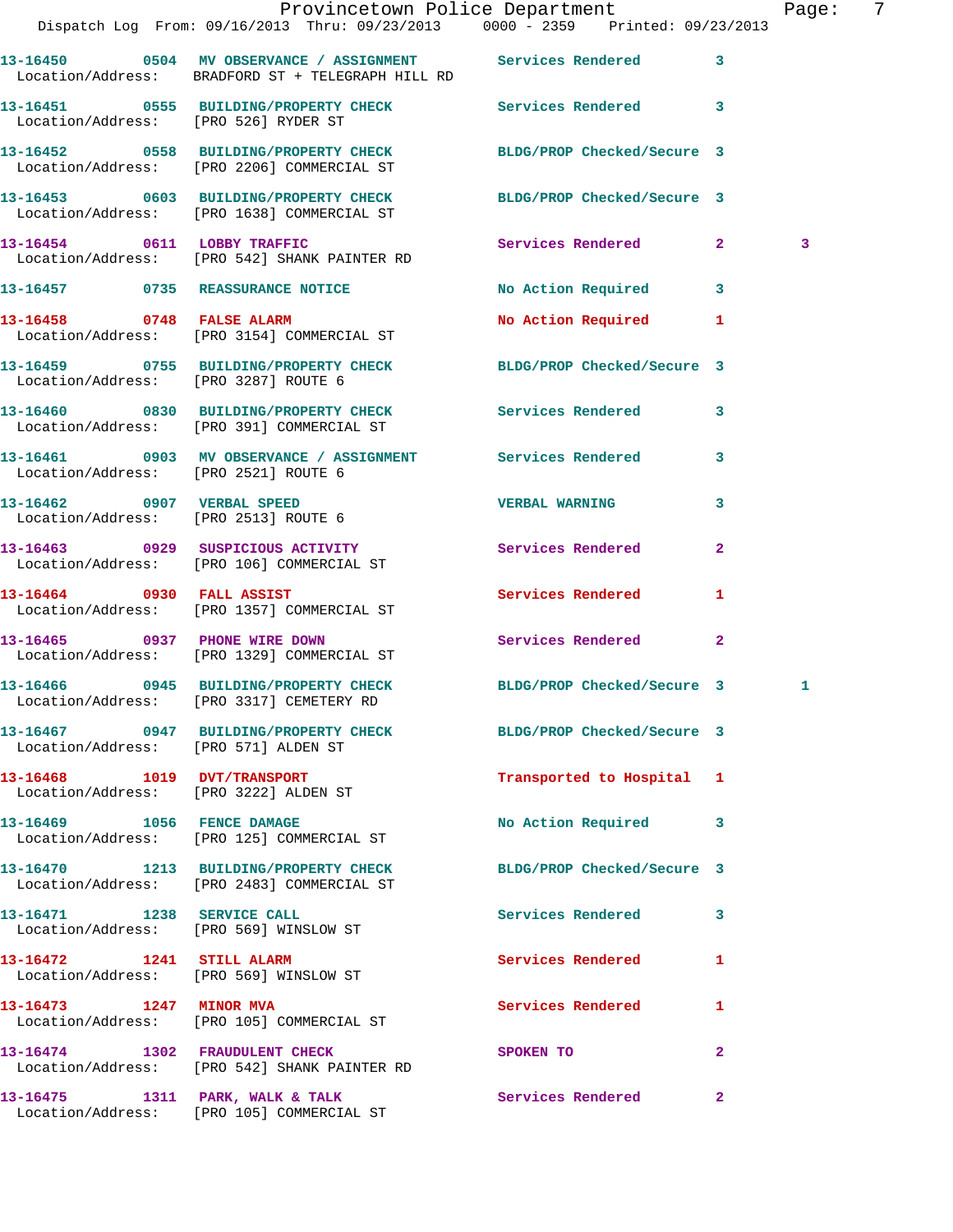|                                                                      | Dispatch Log From: 09/16/2013 Thru: 09/23/2013 0000 - 2359 Printed: 09/23/2013                                    | Provincetown Police Department |              | Page: | -7 |
|----------------------------------------------------------------------|-------------------------------------------------------------------------------------------------------------------|--------------------------------|--------------|-------|----|
|                                                                      | 13-16450 0504 MV OBSERVANCE / ASSIGNMENT Services Rendered 3<br>Location/Address: BRADFORD ST + TELEGRAPH HILL RD |                                |              |       |    |
|                                                                      | 13-16451 0555 BUILDING/PROPERTY CHECK Services Rendered 3<br>Location/Address: [PRO 526] RYDER ST                 |                                |              |       |    |
|                                                                      | 13-16452 0558 BUILDING/PROPERTY CHECK BLDG/PROP Checked/Secure 3<br>Location/Address: [PRO 2206] COMMERCIAL ST    |                                |              |       |    |
|                                                                      | 13-16453 0603 BUILDING/PROPERTY CHECK BLDG/PROP Checked/Secure 3<br>Location/Address: [PRO 1638] COMMERCIAL ST    |                                |              |       |    |
|                                                                      | 13-16454 0611 LOBBY TRAFFIC<br>Location/Address: [PRO 542] SHANK PAINTER RD                                       | Services Rendered 2            |              | 3     |    |
|                                                                      | 13-16457 0735 REASSURANCE NOTICE                                                                                  | No Action Required 3           |              |       |    |
|                                                                      | 13-16458 0748 FALSE ALARM<br>Location/Address: [PRO 3154] COMMERCIAL ST                                           | No Action Required 1           |              |       |    |
| Location/Address: [PRO 3287] ROUTE 6                                 | 13-16459 0755 BUILDING/PROPERTY CHECK BLDG/PROP Checked/Secure 3                                                  |                                |              |       |    |
|                                                                      | 13-16460 0830 BUILDING/PROPERTY CHECK Services Rendered 3<br>Location/Address: [PRO 391] COMMERCIAL ST            |                                |              |       |    |
| Location/Address: [PRO 2521] ROUTE 6                                 | 13-16461 0903 MV OBSERVANCE / ASSIGNMENT Services Rendered 3                                                      |                                |              |       |    |
| 13-16462 0907 VERBAL SPEED                                           | Location/Address: [PRO 2513] ROUTE 6                                                                              | <b>VERBAL WARNING</b>          | 3            |       |    |
|                                                                      | 13-16463 0929 SUSPICIOUS ACTIVITY Services Rendered<br>Location/Address: [PRO 106] COMMERCIAL ST                  |                                | $\mathbf{2}$ |       |    |
|                                                                      | 13-16464 0930 FALL ASSIST<br>Location/Address: [PRO 1357] COMMERCIAL ST                                           | Services Rendered 1            |              |       |    |
|                                                                      | 13-16465 0937 PHONE WIRE DOWN<br>Location/Address: [PRO 1329] COMMERCIAL ST                                       | Services Rendered              | $\mathbf{2}$ |       |    |
|                                                                      | 13-16466 0945 BUILDING/PROPERTY CHECK BLDG/PROP Checked/Secure 3<br>Location/Address: [PRO 3317] CEMETERY RD      |                                |              | 1     |    |
| Location/Address: [PRO 571] ALDEN ST                                 | 13-16467 0947 BUILDING/PROPERTY CHECK BLDG/PROP Checked/Secure 3                                                  |                                |              |       |    |
| 13-16468 1019 DVT/TRANSPORT<br>Location/Address: [PRO 3222] ALDEN ST |                                                                                                                   | Transported to Hospital 1      |              |       |    |
|                                                                      | 13-16469    1056    FENCE DAMAGE<br>Location/Address: [PRO 125] COMMERCIAL ST                                     | No Action Required 3           |              |       |    |
|                                                                      | 13-16470 1213 BUILDING/PROPERTY CHECK<br>Location/Address: [PRO 2483] COMMERCIAL ST                               | BLDG/PROP Checked/Secure 3     |              |       |    |
|                                                                      | 13-16471 1238 SERVICE CALL<br>Location/Address: [PRO 569] WINSLOW ST                                              | Services Rendered              | $\mathbf{3}$ |       |    |
| 13-16472 1241 STILL ALARM                                            | Location/Address: [PRO 569] WINSLOW ST                                                                            | Services Rendered 1            |              |       |    |
|                                                                      | 13-16473 1247 MINOR MVA<br>Location/Address: [PRO 105] COMMERCIAL ST                                              | Services Rendered              | $\mathbf{1}$ |       |    |
|                                                                      | 13-16474 1302 FRAUDULENT CHECK<br>Location/Address: [PRO 542] SHANK PAINTER RD                                    | <b>SPOKEN TO</b>               | $\mathbf{2}$ |       |    |
|                                                                      | 13-16475 1311 PARK, WALK & TALK<br>Location/Address: [PRO 105] COMMERCIAL ST                                      | <b>Services Rendered</b>       | $\mathbf{2}$ |       |    |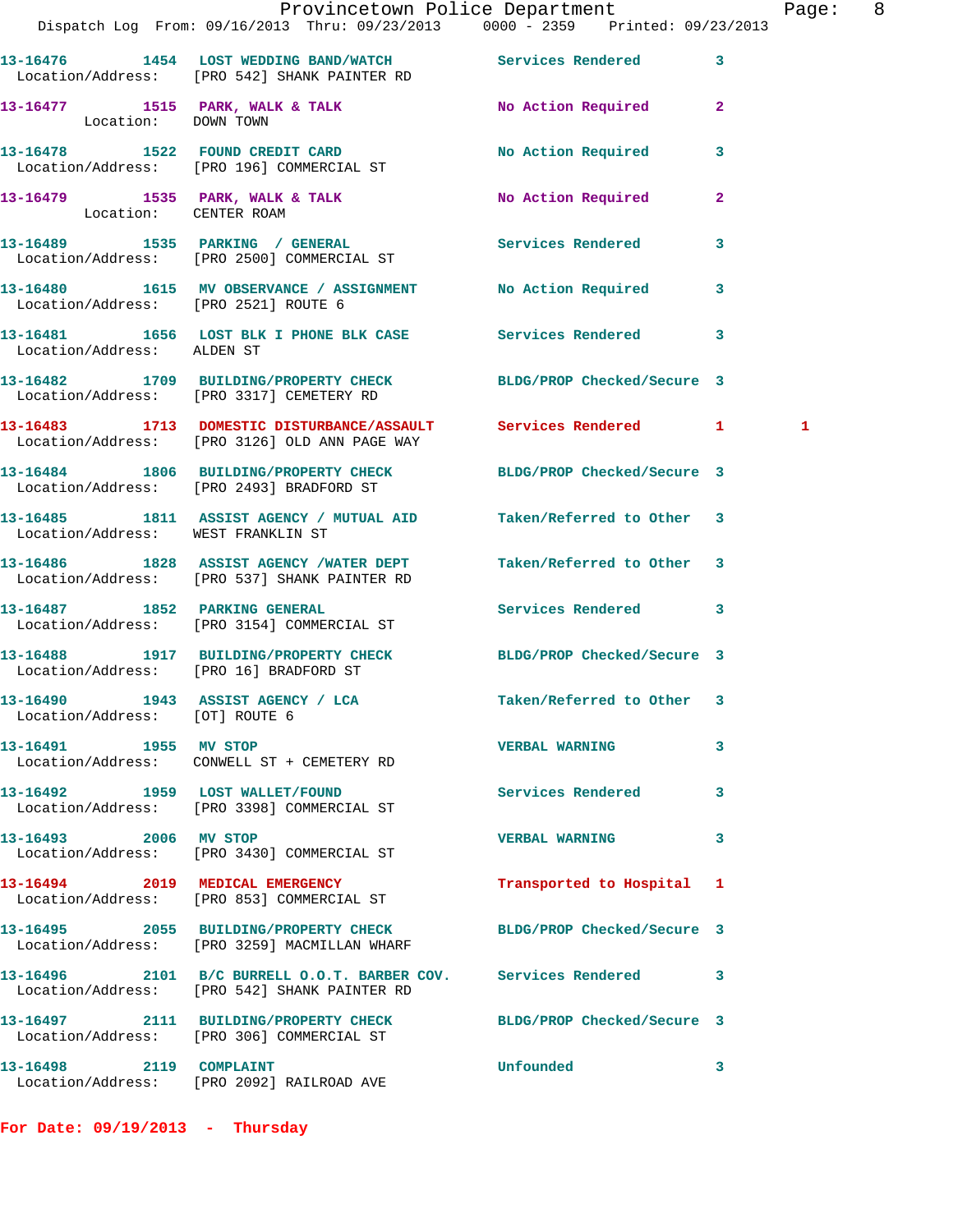|                                        |                                                                                                                   | Provincetown Police Department |              | Page: 8      |  |
|----------------------------------------|-------------------------------------------------------------------------------------------------------------------|--------------------------------|--------------|--------------|--|
|                                        | Dispatch Log From: 09/16/2013 Thru: 09/23/2013 0000 - 2359 Printed: 09/23/2013                                    |                                |              |              |  |
|                                        | 13-16476 1454 LOST WEDDING BAND/WATCH Services Rendered 3<br>Location/Address: [PRO 542] SHANK PAINTER RD         |                                |              |              |  |
| Location: DOWN TOWN                    | 13-16477 1515 PARK, WALK & TALK 1999 No Action Required 2                                                         |                                |              |              |  |
|                                        | 13-16478 1522 FOUND CREDIT CARD<br>Location/Address: [PRO 196] COMMERCIAL ST                                      | No Action Required 3           |              |              |  |
| Location: CENTER ROAM                  | 13-16479 1535 PARK, WALK & TALK NO Action Required 2                                                              |                                |              |              |  |
|                                        | 13-16489 1535 PARKING / GENERAL Services Rendered 3<br>Location/Address: [PRO 2500] COMMERCIAL ST                 |                                |              |              |  |
|                                        | 13-16480 1615 MV OBSERVANCE / ASSIGNMENT No Action Required 3<br>Location/Address: [PRO 2521] ROUTE 6             |                                |              |              |  |
| Location/Address: ALDEN ST             | 13-16481 1656 LOST BLK I PHONE BLK CASE Services Rendered 3                                                       |                                |              |              |  |
|                                        | 13-16482 1709 BUILDING/PROPERTY CHECK BLDG/PROP Checked/Secure 3<br>Location/Address: [PRO 3317] CEMETERY RD      |                                |              |              |  |
|                                        | 13-16483 1713 DOMESTIC DISTURBANCE/ASSAULT Services Rendered 1<br>Location/Address: [PRO 3126] OLD ANN PAGE WAY   |                                |              | $\mathbf{1}$ |  |
|                                        | 13-16484 1806 BUILDING/PROPERTY CHECK BLDG/PROP Checked/Secure 3<br>Location/Address: [PRO 2493] BRADFORD ST      |                                |              |              |  |
| Location/Address: WEST FRANKLIN ST     | 13-16485 1811 ASSIST AGENCY / MUTUAL AID Taken/Referred to Other 3                                                |                                |              |              |  |
|                                        | 13-16486 1828 ASSIST AGENCY /WATER DEPT Taken/Referred to Other 3<br>Location/Address: [PRO 537] SHANK PAINTER RD |                                |              |              |  |
|                                        | 13-16487 1852 PARKING GENERAL<br>Location/Address: [PRO 3154] COMMERCIAL ST                                       | Services Rendered 3            |              |              |  |
| Location/Address: [PRO 16] BRADFORD ST | 13-16488 1917 BUILDING/PROPERTY CHECK BLDG/PROP Checked/Secure 3                                                  |                                |              |              |  |
| Location/Address: [OT] ROUTE 6         | 13-16490 1943 ASSIST AGENCY / LCA                                                                                 | Taken/Referred to Other 3      |              |              |  |
| 13-16491 1955 MV STOP                  | Location/Address: CONWELL ST + CEMETERY RD                                                                        | <b>VERBAL WARNING</b>          | $\mathbf{3}$ |              |  |
|                                        | 13-16492 1959 LOST WALLET/FOUND<br>Location/Address: [PRO 3398] COMMERCIAL ST                                     | Services Rendered 3            |              |              |  |
| 13-16493 2006 MV STOP                  | Location/Address: [PRO 3430] COMMERCIAL ST                                                                        | <b>VERBAL WARNING</b>          | 3            |              |  |
|                                        | 13-16494 2019 MEDICAL EMERGENCY<br>Location/Address: [PRO 853] COMMERCIAL ST                                      | Transported to Hospital 1      |              |              |  |
|                                        | 13-16495 2055 BUILDING/PROPERTY CHECK<br>Location/Address: [PRO 3259] MACMILLAN WHARF                             | BLDG/PROP Checked/Secure 3     |              |              |  |
|                                        | 13-16496 2101 B/C BURRELL O.O.T. BARBER COV. Services Rendered 3<br>Location/Address: [PRO 542] SHANK PAINTER RD  |                                |              |              |  |
|                                        | 13-16497 2111 BUILDING/PROPERTY CHECK BLDG/PROP Checked/Secure 3<br>Location/Address: [PRO 306] COMMERCIAL ST     |                                |              |              |  |
| 13-16498 2119 COMPLAINT                | Location/Address: [PRO 2092] RAILROAD AVE                                                                         | Unfounded                      | $\mathbf{3}$ |              |  |

**For Date: 09/19/2013 - Thursday**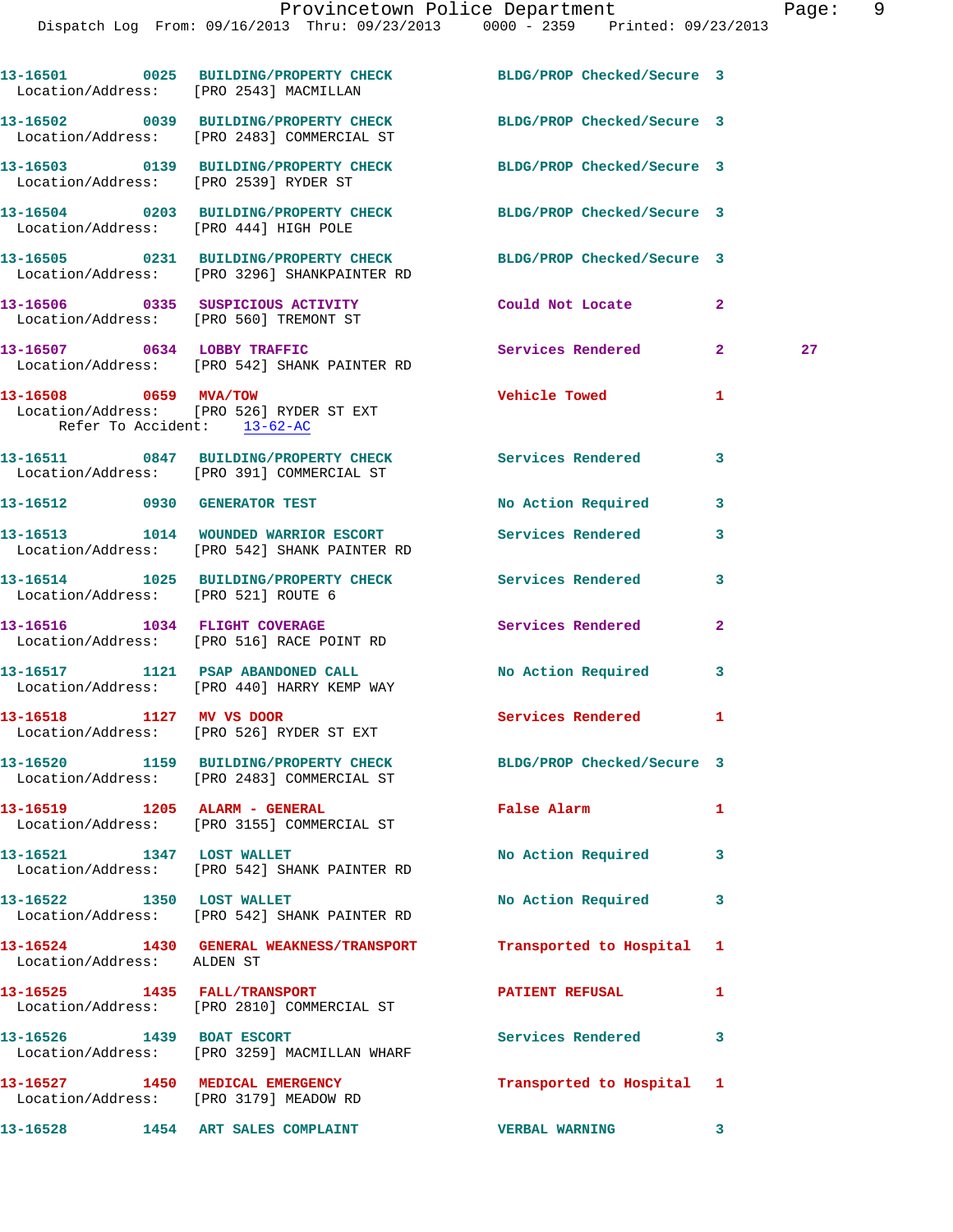|                                                      | 13-16501 0025 BUILDING/PROPERTY CHECK BLDG/PROP Checked/Secure 3<br>Location/Address: [PRO 2543] MACMILLAN       |                            |              |    |
|------------------------------------------------------|------------------------------------------------------------------------------------------------------------------|----------------------------|--------------|----|
|                                                      | 13-16502 0039 BUILDING/PROPERTY CHECK<br>Location/Address: [PRO 2483] COMMERCIAL ST                              | BLDG/PROP Checked/Secure 3 |              |    |
|                                                      | 13-16503 0139 BUILDING/PROPERTY CHECK BLDG/PROP Checked/Secure 3<br>Location/Address: [PRO 2539] RYDER ST        |                            |              |    |
|                                                      | 13-16504 0203 BUILDING/PROPERTY CHECK BLDG/PROP Checked/Secure 3<br>Location/Address: [PRO 444] HIGH POLE        |                            |              |    |
|                                                      | 13-16505 0231 BUILDING/PROPERTY CHECK BLDG/PROP Checked/Secure 3<br>Location/Address: [PRO 3296] SHANKPAINTER RD |                            |              |    |
|                                                      | 13-16506 0335 SUSPICIOUS ACTIVITY Could Not Locate 2<br>Location/Address: [PRO 560] TREMONT ST                   |                            |              |    |
|                                                      | 13-16507 0634 LOBBY TRAFFIC<br>Location/Address: [PRO 542] SHANK PAINTER RD                                      | Services Rendered 2        |              | 27 |
| 13-16508 0659 MVA/TOW<br>Refer To Accident: 13-62-AC | Location/Address: [PRO 526] RYDER ST EXT                                                                         | <b>Vehicle Towed State</b> | 1            |    |
|                                                      | 13-16511 0847 BUILDING/PROPERTY CHECK<br>Location/Address: [PRO 391] COMMERCIAL ST                               | Services Rendered 3        |              |    |
|                                                      | 13-16512 0930 GENERATOR TEST                                                                                     | No Action Required         | 3            |    |
|                                                      | 13-16513 1014 WOUNDED WARRIOR ESCORT<br>Location/Address: [PRO 542] SHANK PAINTER RD                             | Services Rendered          | 3            |    |
|                                                      | 13-16514 1025 BUILDING/PROPERTY CHECK Services Rendered<br>Location/Address: [PRO 521] ROUTE 6                   |                            | 3            |    |
|                                                      | 13-16516 1034 FLIGHT COVERAGE<br>Location/Address: [PRO 516] RACE POINT RD                                       | Services Rendered          | $\mathbf{2}$ |    |
|                                                      | 13-16517 1121 PSAP ABANDONED CALL<br>Location/Address: [PRO 440] HARRY KEMP WAY                                  | No Action Required         | 3            |    |
|                                                      | 13-16518 1127 MV VS DOOR<br>Location/Address: [PRO 526] RYDER ST EXT                                             | Services Rendered          | $\mathbf{1}$ |    |
|                                                      | 13-16520 1159 BUILDING/PROPERTY CHECK BLDG/PROP Checked/Secure 3<br>Location/Address: [PRO 2483] COMMERCIAL ST   |                            |              |    |
|                                                      | Location/Address: [PRO 3155] COMMERCIAL ST                                                                       | False Alarm                | 1            |    |
| 13-16521 1347 LOST WALLET                            | Location/Address: [PRO 542] SHANK PAINTER RD                                                                     | No Action Required 3       |              |    |
| 13-16522 1350 LOST WALLET                            | Location/Address: [PRO 542] SHANK PAINTER RD                                                                     | No Action Required         | 3            |    |
| Location/Address: ALDEN ST                           | 13-16524 1430 GENERAL WEAKNESS/TRANSPORT Transported to Hospital                                                 |                            | 1            |    |
|                                                      | 13-16525 1435 FALL/TRANSPORT<br>Location/Address: [PRO 2810] COMMERCIAL ST                                       | PATIENT REFUSAL            | 1            |    |
| 13-16526 1439 BOAT ESCORT                            | Location/Address: [PRO 3259] MACMILLAN WHARF                                                                     | Services Rendered          | 3            |    |
|                                                      | 13-16527 1450 MEDICAL EMERGENCY<br>Location/Address: [PRO 3179] MEADOW RD                                        | Transported to Hospital 1  |              |    |
|                                                      | 13-16528 1454 ART SALES COMPLAINT                                                                                | <b>VERBAL WARNING</b>      | 3            |    |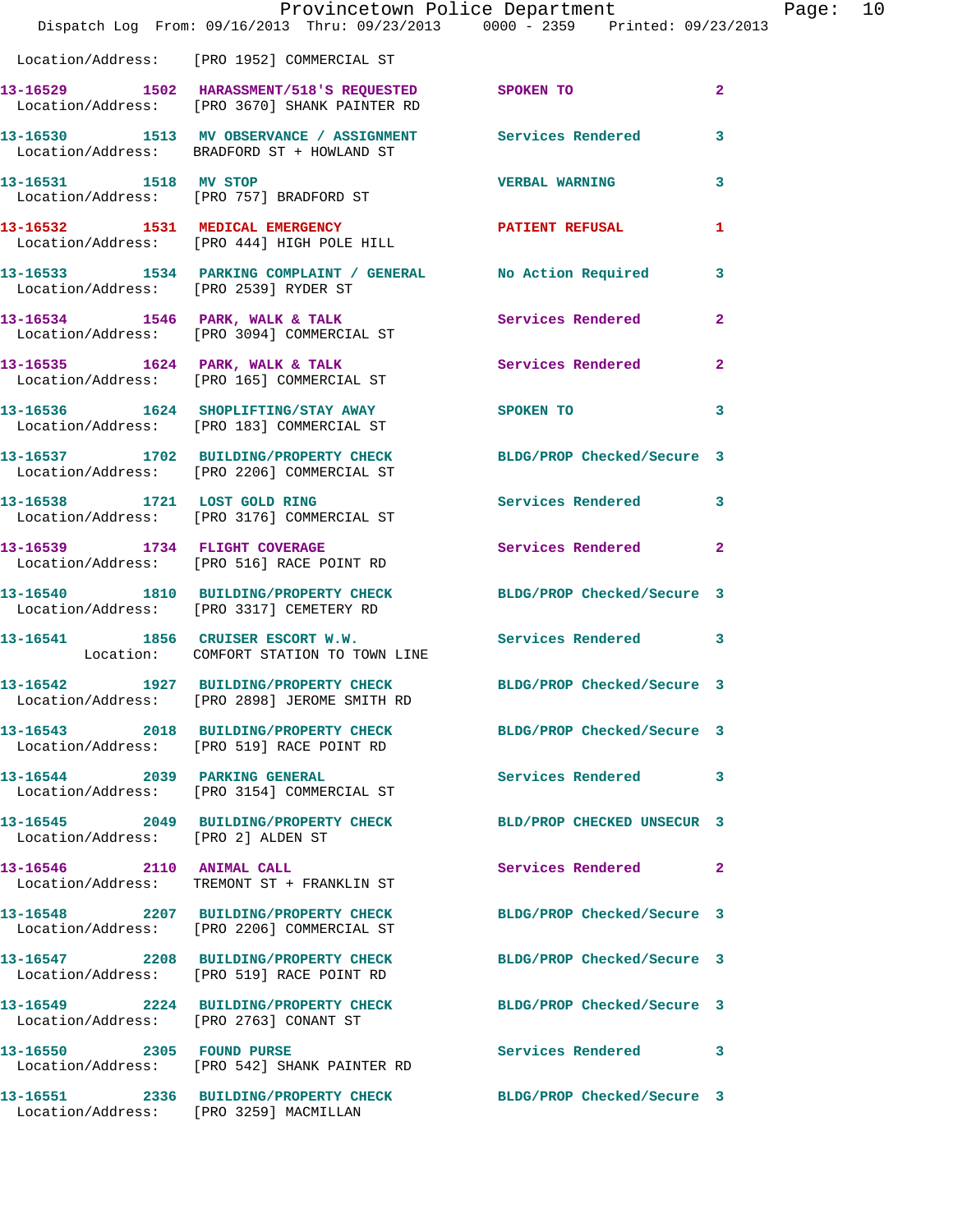|                                        | Provincetown Police Department<br>Dispatch Log From: 09/16/2013 Thru: 09/23/2013 0000 - 2359 Printed: 09/23/2013 |                            | Page: 10                |
|----------------------------------------|------------------------------------------------------------------------------------------------------------------|----------------------------|-------------------------|
|                                        | Location/Address: [PRO 1952] COMMERCIAL ST                                                                       |                            |                         |
|                                        | 13-16529 1502 HARASSMENT/518'S REQUESTED SPOKEN TO<br>Location/Address: [PRO 3670] SHANK PAINTER RD              |                            | $\mathbf{2}$            |
|                                        | 13-16530 1513 MV OBSERVANCE / ASSIGNMENT Services Rendered<br>Location/Address: BRADFORD ST + HOWLAND ST         |                            | $\overline{\mathbf{3}}$ |
|                                        |                                                                                                                  | <b>VERBAL WARNING</b>      | $\mathbf{3}$            |
|                                        | 13-16532 1531 MEDICAL EMERGENCY<br>Location/Address: [PRO 444] HIGH POLE HILL                                    | PATIENT REFUSAL            | 1                       |
| Location/Address: [PRO 2539] RYDER ST  | 13-16533 1534 PARKING COMPLAINT / GENERAL No Action Required                                                     |                            | $\overline{\mathbf{3}}$ |
|                                        | 13-16534 1546 PARK, WALK & TALK 1988 Services Rendered<br>Location/Address: [PRO 3094] COMMERCIAL ST             |                            | $\mathbf{2}$            |
|                                        | 13-16535 1624 PARK, WALK & TALK 1997 Services Rendered 2<br>Location/Address: [PRO 165] COMMERCIAL ST            |                            |                         |
|                                        | 13-16536 1624 SHOPLIFTING/STAY AWAY<br>Location/Address: [PRO 183] COMMERCIAL ST                                 | SPOKEN TO                  | 3                       |
|                                        | 13-16537 1702 BUILDING/PROPERTY CHECK BLDG/PROP Checked/Secure 3<br>Location/Address: [PRO 2206] COMMERCIAL ST   |                            |                         |
|                                        | 13-16538 1721 LOST GOLD RING<br>Location/Address: [PRO 3176] COMMERCIAL ST                                       | Services Rendered 3        |                         |
|                                        | 13-16539 1734 FLIGHT COVERAGE<br>Location/Address: [PRO 516] RACE POINT RD                                       | Services Rendered 2        |                         |
|                                        | 13-16540 1810 BUILDING/PROPERTY CHECK<br>Location/Address: [PRO 3317] CEMETERY RD                                | BLDG/PROP Checked/Secure 3 |                         |
|                                        | 13-16541 1856 CRUISER ESCORT W.W.<br>Location: COMFORT STATION TO TOWN LINE                                      | Services Rendered 3        |                         |
|                                        | 13-16542 1927 BUILDING/PROPERTY CHECK BLDG/PROP Checked/Secure 3<br>Location/Address: [PRO 2898] JEROME SMITH RD |                            |                         |
|                                        | 13-16543 2018 BUILDING/PROPERTY CHECK BLDG/PROP Checked/Secure 3<br>Location/Address: [PRO 519] RACE POINT RD    |                            |                         |
|                                        | 13-16544 2039 PARKING GENERAL<br>Location/Address: [PRO 3154] COMMERCIAL ST                                      | Services Rendered          | $\mathbf{3}$            |
| Location/Address: [PRO 2] ALDEN ST     | 13-16545 2049 BUILDING/PROPERTY CHECK BLD/PROP CHECKED UNSECUR 3                                                 |                            |                         |
|                                        | 13-16546 2110 ANIMAL CALL<br>Location/Address: TREMONT ST + FRANKLIN ST                                          | Services Rendered 2        |                         |
|                                        | 13-16548 2207 BUILDING/PROPERTY CHECK BLDG/PROP Checked/Secure 3<br>Location/Address: [PRO 2206] COMMERCIAL ST   |                            |                         |
|                                        | 13-16547 2208 BUILDING/PROPERTY CHECK<br>Location/Address: [PRO 519] RACE POINT RD                               | BLDG/PROP Checked/Secure 3 |                         |
|                                        | 13-16549 2224 BUILDING/PROPERTY CHECK BLDG/PROP Checked/Secure 3<br>Location/Address: [PRO 2763] CONANT ST       |                            |                         |
|                                        | 13-16550 2305 FOUND PURSE<br>Location/Address: [PRO 542] SHANK PAINTER RD                                        | Services Rendered 3        |                         |
| Location/Address: [PRO 3259] MACMILLAN | 13-16551 2336 BUILDING/PROPERTY CHECK BLDG/PROP Checked/Secure 3                                                 |                            |                         |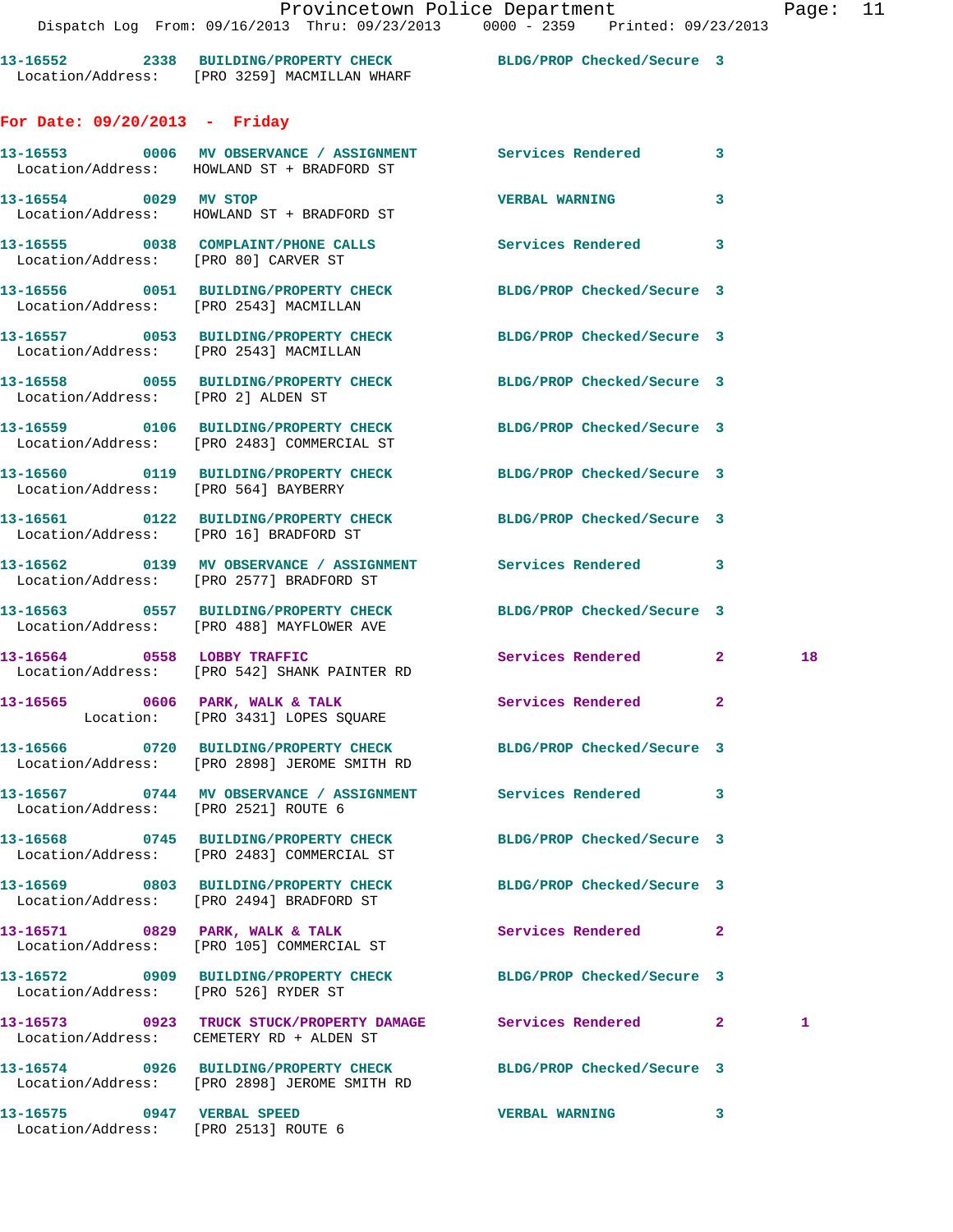|                                                                    | 13-16553 0006 MV OBSERVANCE / ASSIGNMENT Services Rendered<br>Location/Address: HOWLAND ST + BRADFORD ST         |                            | $\mathbf{3}$ |              |
|--------------------------------------------------------------------|------------------------------------------------------------------------------------------------------------------|----------------------------|--------------|--------------|
| 13-16554 0029 MV STOP                                              | Location/Address: HOWLAND ST + BRADFORD ST                                                                       | <b>VERBAL WARNING</b>      | 3            |              |
| Location/Address: [PRO 80] CARVER ST                               | 13-16555 0038 COMPLAINT/PHONE CALLS                                                                              | Services Rendered          | $\mathbf{3}$ |              |
| Location/Address: [PRO 2543] MACMILLAN                             | 13-16556 0051 BUILDING/PROPERTY CHECK BLDG/PROP Checked/Secure 3                                                 |                            |              |              |
|                                                                    | 13-16557 0053 BUILDING/PROPERTY CHECK BLDG/PROP Checked/Secure 3<br>Location/Address: [PRO 2543] MACMILLAN       |                            |              |              |
| Location/Address: [PRO 2] ALDEN ST                                 | 13-16558 0055 BUILDING/PROPERTY CHECK BLDG/PROP Checked/Secure 3                                                 |                            |              |              |
|                                                                    | 13-16559 0106 BUILDING/PROPERTY CHECK BLDG/PROP Checked/Secure 3<br>Location/Address: [PRO 2483] COMMERCIAL ST   |                            |              |              |
| Location/Address: [PRO 564] BAYBERRY                               | 13-16560 0119 BUILDING/PROPERTY CHECK BLDG/PROP Checked/Secure 3                                                 |                            |              |              |
|                                                                    | 13-16561 0122 BUILDING/PROPERTY CHECK BLDG/PROP Checked/Secure 3<br>Location/Address: [PRO 16] BRADFORD ST       |                            |              |              |
|                                                                    | 13-16562 0139 MV OBSERVANCE / ASSIGNMENT Services Rendered 3<br>Location/Address: [PRO 2577] BRADFORD ST         |                            |              |              |
|                                                                    | 13-16563 0557 BUILDING/PROPERTY CHECK<br>Location/Address: [PRO 488] MAYFLOWER AVE                               | BLDG/PROP Checked/Secure 3 |              |              |
|                                                                    | 13-16564 0558 LOBBY TRAFFIC<br>Location/Address: [PRO 542] SHANK PAINTER RD                                      | <b>Services Rendered</b>   | $\mathbf{2}$ | 18           |
|                                                                    | $13-16565$ 0606 PARK, WALK & TALK<br>Location: [PRO 3431] LOPES SQUARE                                           | Services Rendered 2        |              |              |
|                                                                    | 13-16566 0720 BUILDING/PROPERTY CHECK BLDG/PROP Checked/Secure 3<br>Location/Address: [PRO 2898] JEROME SMITH RD |                            |              |              |
| Location/Address: [PRO 2521] ROUTE 6                               | 13-16567 0744 MV OBSERVANCE / ASSIGNMENT Services Rendered 3                                                     |                            |              |              |
|                                                                    | 13-16568 0745 BUILDING/PROPERTY CHECK BLDG/PROP Checked/Secure 3<br>Location/Address: [PRO 2483] COMMERCIAL ST   |                            |              |              |
|                                                                    | 13-16569 0803 BUILDING/PROPERTY CHECK<br>Location/Address: [PRO 2494] BRADFORD ST                                | BLDG/PROP Checked/Secure 3 |              |              |
|                                                                    | 13-16571 0829 PARK, WALK & TALK<br>Location/Address: [PRO 105] COMMERCIAL ST                                     | Services Rendered          | 2            |              |
| Location/Address: [PRO 526] RYDER ST                               | 13-16572 0909 BUILDING/PROPERTY CHECK                                                                            | BLDG/PROP Checked/Secure 3 |              |              |
|                                                                    | Location/Address: CEMETERY RD + ALDEN ST                                                                         |                            | $\mathbf{2}$ | $\mathbf{1}$ |
|                                                                    | 13-16574 0926 BUILDING/PROPERTY CHECK<br>Location/Address: [PRO 2898] JEROME SMITH RD                            | BLDG/PROP Checked/Secure 3 |              |              |
| 13-16575 0947 VERBAL SPEED<br>Location/Address: [PRO 2513] ROUTE 6 |                                                                                                                  | <b>VERBAL WARNING</b>      | 3            |              |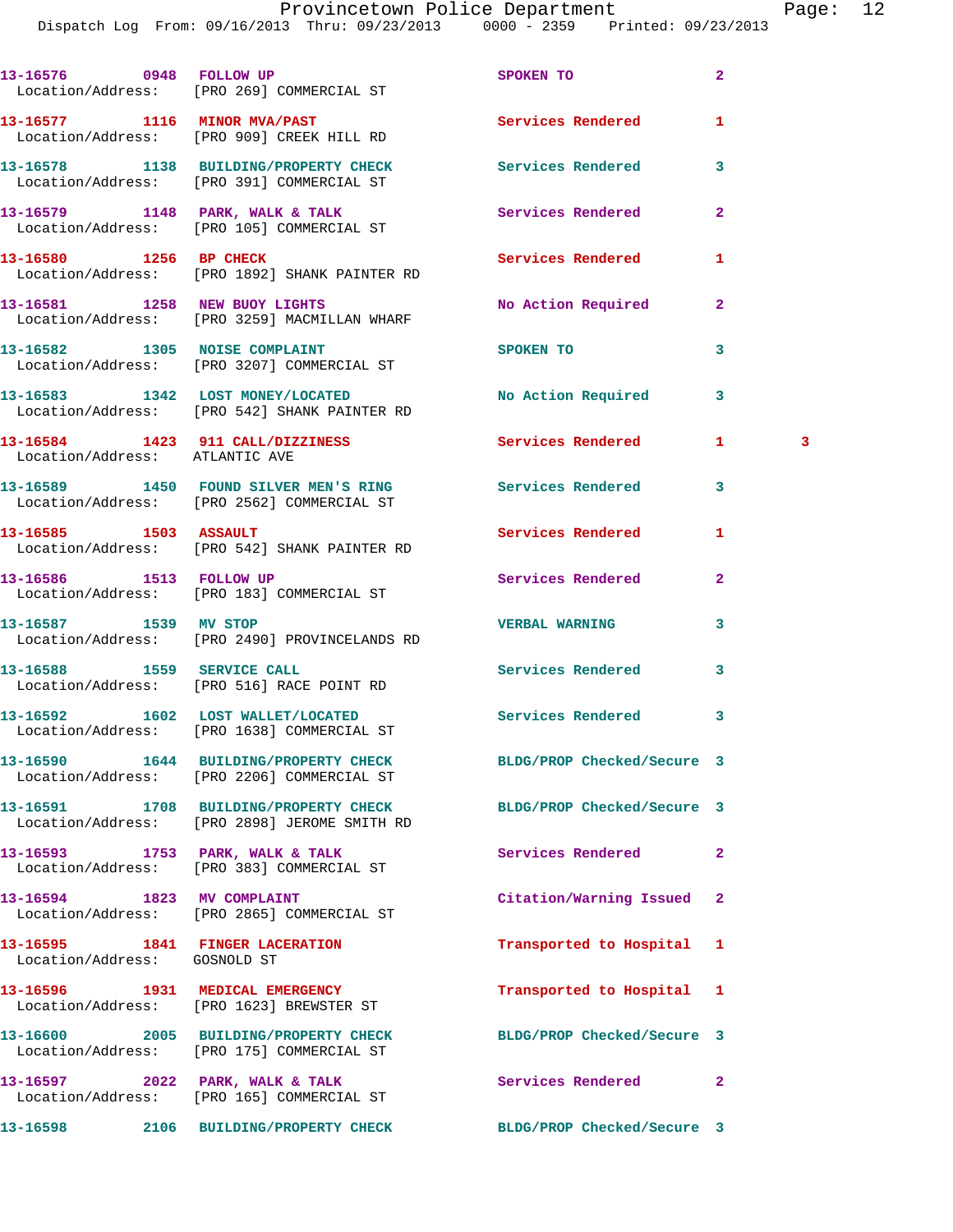Dispatch Log From: 09/16/2013 Thru: 09/23/2013 0000 - 2359 Printed: 09/23/2013

|                                                                 | 13-16576 0948 FOLLOW UP<br>Location/Address: [PRO 269] COMMERCIAL ST                                 | SPOKEN TO                  | $\overline{a}$ |   |
|-----------------------------------------------------------------|------------------------------------------------------------------------------------------------------|----------------------------|----------------|---|
|                                                                 | 13-16577 1116 MINOR MVA/PAST<br>Location/Address: [PRO 909] CREEK HILL RD                            | <b>Services Rendered</b>   | 1              |   |
|                                                                 | 13-16578 1138 BUILDING/PROPERTY CHECK Services Rendered<br>Location/Address: [PRO 391] COMMERCIAL ST |                            | 3              |   |
|                                                                 | 13-16579 1148 PARK, WALK & TALK<br>Location/Address: [PRO 105] COMMERCIAL ST                         | <b>Services Rendered</b>   | $\overline{a}$ |   |
| 13-16580 1256 BP CHECK                                          | Location/Address: [PRO 1892] SHANK PAINTER RD                                                        | Services Rendered          | 1              |   |
|                                                                 | 13-16581 1258 NEW BUOY LIGHTS<br>Location/Address: [PRO 3259] MACMILLAN WHARF                        | No Action Required         | $\mathbf{2}$   |   |
|                                                                 | 13-16582 1305 NOISE COMPLAINT<br>Location/Address: [PRO 3207] COMMERCIAL ST                          | SPOKEN TO                  | 3              |   |
|                                                                 | 13-16583 1342 LOST MONEY/LOCATED<br>Location/Address: [PRO 542] SHANK PAINTER RD                     | No Action Required         | 3              |   |
| Location/Address: ATLANTIC AVE                                  | 13-16584 1423 911 CALL/DIZZINESS                                                                     | Services Rendered          | 1.             | 3 |
|                                                                 | 13-16589 1450 FOUND SILVER MEN'S RING<br>Location/Address: [PRO 2562] COMMERCIAL ST                  | Services Rendered          | 3              |   |
|                                                                 | 13-16585 1503 ASSAULT<br>Location/Address: [PRO 542] SHANK PAINTER RD                                | Services Rendered          | 1              |   |
| 13-16586 1513 FOLLOW UP                                         | Location/Address: [PRO 183] COMMERCIAL ST                                                            | <b>Services Rendered</b>   | $\mathbf{2}$   |   |
| 13-16587 1539 MV STOP                                           | Location/Address: [PRO 2490] PROVINCELANDS RD                                                        | <b>VERBAL WARNING</b>      | 3              |   |
| 13-16588 1559 SERVICE CALL                                      | Location/Address: [PRO 516] RACE POINT RD                                                            | <b>Services Rendered</b>   | 3              |   |
|                                                                 | 13-16592 1602 LOST WALLET/LOCATED<br>Location/Address: [PRO 1638] COMMERCIAL ST                      | Services Rendered          | 3              |   |
|                                                                 | 13-16590 1644 BUILDING/PROPERTY CHECK<br>Location/Address: [PRO 2206] COMMERCIAL ST                  | BLDG/PROP Checked/Secure 3 |                |   |
|                                                                 | 13-16591 1708 BUILDING/PROPERTY CHECK<br>Location/Address: [PRO 2898] JEROME SMITH RD                | BLDG/PROP Checked/Secure 3 |                |   |
|                                                                 | Location/Address: [PRO 383] COMMERCIAL ST                                                            | Services Rendered          | $\mathbf{2}$   |   |
| 13-16594 1823 MV COMPLAINT                                      | Location/Address: [PRO 2865] COMMERCIAL ST                                                           | Citation/Warning Issued    | $\mathbf{2}$   |   |
| 13-16595 1841 FINGER LACERATION<br>Location/Address: GOSNOLD ST |                                                                                                      | Transported to Hospital    | 1              |   |
|                                                                 | 13-16596 1931 MEDICAL EMERGENCY<br>Location/Address: [PRO 1623] BREWSTER ST                          | Transported to Hospital    | 1              |   |
|                                                                 | 13-16600 2005 BUILDING/PROPERTY CHECK<br>Location/Address: [PRO 175] COMMERCIAL ST                   | BLDG/PROP Checked/Secure 3 |                |   |
|                                                                 |                                                                                                      |                            |                |   |

13-16597 2022 PARK, WALK & TALK **Services Rendered** 2

**13-16598 2106 BUILDING/PROPERTY CHECK BLDG/PROP Checked/Secure 3**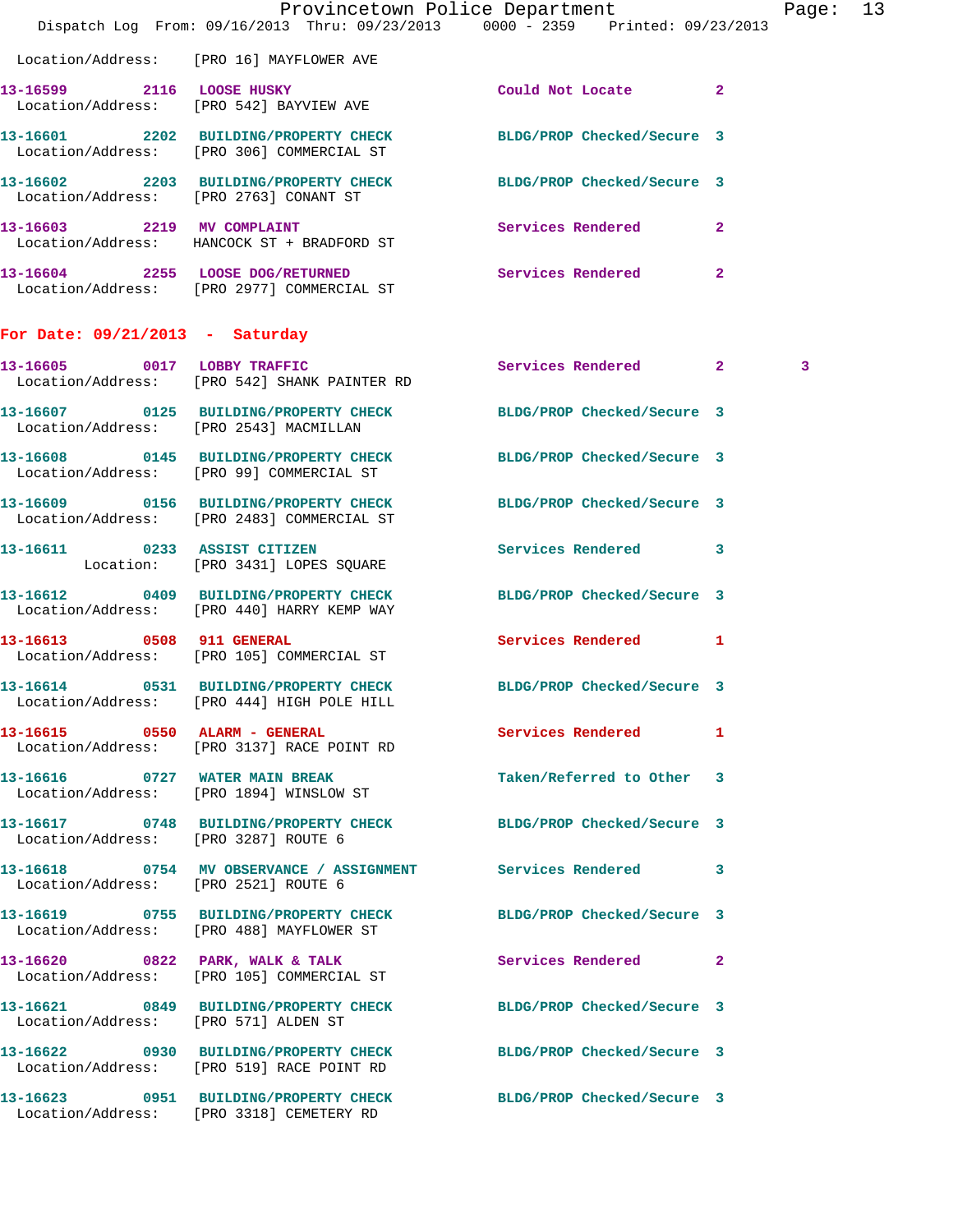|                                        | Dispatch Log From: 09/16/2013 Thru: 09/23/2013 0000 - 2359 Printed: 09/23/2013                                 | Provincetown Police Department |              | Page: 13 |  |
|----------------------------------------|----------------------------------------------------------------------------------------------------------------|--------------------------------|--------------|----------|--|
|                                        | Location/Address: [PRO 16] MAYFLOWER AVE                                                                       |                                |              |          |  |
| 13-16599 2116 LOOSE HUSKY              | Location/Address: [PRO 542] BAYVIEW AVE                                                                        | Could Not Locate               | $\mathbf{2}$ |          |  |
|                                        | 13-16601 2202 BUILDING/PROPERTY CHECK BLDG/PROP Checked/Secure 3<br>Location/Address: [PRO 306] COMMERCIAL ST  |                                |              |          |  |
| Location/Address: [PRO 2763] CONANT ST | 13-16602 2203 BUILDING/PROPERTY CHECK BLDG/PROP Checked/Secure 3                                               |                                |              |          |  |
|                                        | 13-16603 2219 MV COMPLAINT<br>Location/Address: HANCOCK ST + BRADFORD ST                                       | Services Rendered              | $\mathbf{2}$ |          |  |
|                                        | 13-16604 2255 LOOSE DOG/RETURNED<br>Location/Address: [PRO 2977] COMMERCIAL ST                                 | Services Rendered              | $\mathbf{2}$ |          |  |
| For Date: $09/21/2013$ - Saturday      |                                                                                                                |                                |              |          |  |
|                                        | 13-16605 0017 LOBBY TRAFFIC<br>Location/Address: [PRO 542] SHANK PAINTER RD                                    | Services Rendered 2            |              | 3        |  |
| Location/Address: [PRO 2543] MACMILLAN | 13-16607 0125 BUILDING/PROPERTY CHECK                                                                          | BLDG/PROP Checked/Secure 3     |              |          |  |
|                                        | 13-16608 0145 BUILDING/PROPERTY CHECK<br>Location/Address: [PRO 99] COMMERCIAL ST                              | BLDG/PROP Checked/Secure 3     |              |          |  |
|                                        | 13-16609 0156 BUILDING/PROPERTY CHECK<br>Location/Address: [PRO 2483] COMMERCIAL ST                            | BLDG/PROP Checked/Secure 3     |              |          |  |
| 13-16611 0233 ASSIST CITIZEN           | Location: [PRO 3431] LOPES SQUARE                                                                              | Services Rendered              | 3            |          |  |
|                                        | 13-16612 0409 BUILDING/PROPERTY CHECK BLDG/PROP Checked/Secure 3<br>Location/Address: [PRO 440] HARRY KEMP WAY |                                |              |          |  |
| 13-16613 0508 911 GENERAL              | Location/Address: [PRO 105] COMMERCIAL ST                                                                      | Services Rendered              | 1            |          |  |
|                                        | 13-16614 0531 BUILDING/PROPERTY CHECK<br>Location/Address: [PRO 444] HIGH POLE HILL                            | BLDG/PROP Checked/Secure 3     |              |          |  |
|                                        | 13-16615 0550 ALARM - GENERAL<br>Location/Address: [PRO 3137] RACE POINT RD                                    | Services Rendered              | 1            |          |  |
|                                        | 13-16616 0727 WATER MAIN BREAK<br>Location/Address: [PRO 1894] WINSLOW ST                                      | Taken/Referred to Other 3      |              |          |  |
| Location/Address: [PRO 3287] ROUTE 6   | 13-16617 0748 BUILDING/PROPERTY CHECK BLDG/PROP Checked/Secure 3                                               |                                |              |          |  |
| Location/Address: [PRO 2521] ROUTE 6   |                                                                                                                |                                | 3            |          |  |
|                                        | 13-16619 0755 BUILDING/PROPERTY CHECK BLDG/PROP Checked/Secure 3<br>Location/Address: [PRO 488] MAYFLOWER ST   |                                |              |          |  |
|                                        | 13-16620 0822 PARK, WALK & TALK<br>Location/Address: [PRO 105] COMMERCIAL ST                                   | Services Rendered              | $\mathbf{2}$ |          |  |
| Location/Address: [PRO 571] ALDEN ST   | 13-16621 0849 BUILDING/PROPERTY CHECK                                                                          | BLDG/PROP Checked/Secure 3     |              |          |  |
|                                        | 13-16622 0930 BUILDING/PROPERTY CHECK BLDG/PROP Checked/Secure 3<br>Location/Address: [PRO 519] RACE POINT RD  |                                |              |          |  |
|                                        | 13-16623 0951 BUILDING/PROPERTY CHECK<br>Location/Address: [PRO 3318] CEMETERY RD                              | BLDG/PROP Checked/Secure 3     |              |          |  |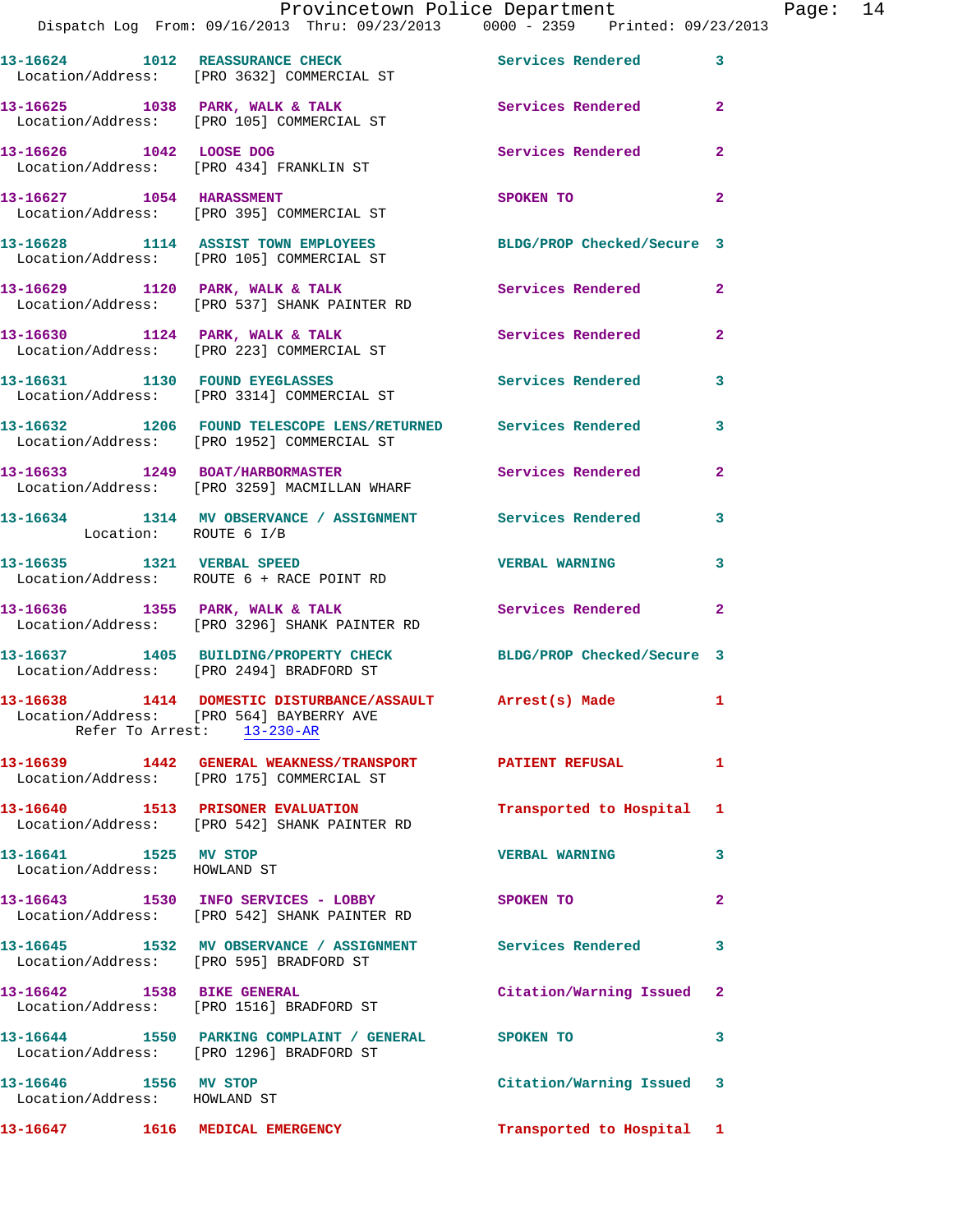|                                                       | Provincetown Police Department                                                                                                      |                            |                |
|-------------------------------------------------------|-------------------------------------------------------------------------------------------------------------------------------------|----------------------------|----------------|
|                                                       | Dispatch Log From: 09/16/2013 Thru: 09/23/2013 0000 - 2359 Printed: 09/23/2013                                                      |                            |                |
|                                                       | 13-16624 1012 REASSURANCE CHECK<br>Location/Address: [PRO 3632] COMMERCIAL ST                                                       | Services Rendered          | 3              |
|                                                       | 13-16625 1038 PARK, WALK & TALK 1988 Services Rendered<br>Location/Address: [PRO 105] COMMERCIAL ST                                 |                            | $\mathbf{2}$   |
|                                                       | 13-16626 1042 LOOSE DOG<br>Location/Address: [PRO 434] FRANKLIN ST                                                                  | <b>Services Rendered</b>   | $\overline{2}$ |
| 13-16627 1054 HARASSMENT                              | Location/Address: [PRO 395] COMMERCIAL ST                                                                                           | SPOKEN TO                  | $\mathbf{2}$   |
|                                                       | 13-16628 1114 ASSIST TOWN EMPLOYEES<br>Location/Address: [PRO 105] COMMERCIAL ST                                                    | BLDG/PROP Checked/Secure 3 |                |
|                                                       | 13-16629 1120 PARK, WALK & TALK<br>Location/Address: [PRO 537] SHANK PAINTER RD                                                     | Services Rendered          | $\mathbf{2}$   |
|                                                       | 13-16630 1124 PARK, WALK & TALK<br>Location/Address: [PRO 223] COMMERCIAL ST                                                        | Services Rendered          | $\overline{a}$ |
|                                                       | 13-16631 1130 FOUND EYEGLASSES<br>Location/Address: [PRO 3314] COMMERCIAL ST                                                        | <b>Services Rendered</b>   | 3              |
|                                                       | 13-16632 1206 FOUND TELESCOPE LENS/RETURNED Services Rendered<br>Location/Address: [PRO 1952] COMMERCIAL ST                         |                            | 3              |
|                                                       | 13-16633 1249 BOAT/HARBORMASTER<br>Location/Address: [PRO 3259] MACMILLAN WHARF                                                     | Services Rendered          | $\mathbf{2}$   |
| Location: ROUTE 6 I/B                                 | 13-16634 1314 MV OBSERVANCE / ASSIGNMENT Services Rendered                                                                          |                            | 3              |
|                                                       | 13-16635 1321 VERBAL SPEED<br>Location/Address: ROUTE 6 + RACE POINT RD                                                             | <b>VERBAL WARNING</b>      | 3              |
|                                                       | 13-16636 1355 PARK, WALK & TALK<br>Location/Address: [PRO 3296] SHANK PAINTER RD                                                    | Services Rendered          | $\mathbf{2}$   |
|                                                       | 13-16637 1405 BUILDING/PROPERTY CHECK BLDG/PROP Checked/Secure 3<br>Location/Address: [PRO 2494] BRADFORD ST                        |                            |                |
|                                                       | 13-16638 1414 DOMESTIC DISTURBANCE/ASSAULT Arrest(s) Made<br>Location/Address: [PRO 564] BAYBERRY AVE<br>Refer To Arrest: 13-230-AR |                            |                |
|                                                       | 13-16639 1442 GENERAL WEAKNESS/TRANSPORT PATIENT REFUSAL<br>Location/Address: [PRO 175] COMMERCIAL ST                               |                            | 1              |
|                                                       | 13-16640 1513 PRISONER EVALUATION<br>Location/Address: [PRO 542] SHANK PAINTER RD                                                   | Transported to Hospital    | 1              |
| 13-16641 1525 MV STOP<br>Location/Address: HOWLAND ST |                                                                                                                                     | <b>VERBAL WARNING</b>      | 3              |
|                                                       | 13-16643 1530 INFO SERVICES - LOBBY SPOKEN TO<br>Location/Address: [PRO 542] SHANK PAINTER RD                                       |                            | 2              |
| Location/Address: [PRO 595] BRADFORD ST               | 13-16645 1532 MV OBSERVANCE / ASSIGNMENT Services Rendered                                                                          |                            | 3              |
| 13-16642 1538 BIKE GENERAL                            | Location/Address: [PRO 1516] BRADFORD ST                                                                                            | Citation/Warning Issued    | $\mathbf{2}$   |
|                                                       | 13-16644 1550 PARKING COMPLAINT / GENERAL SPOKEN TO<br>Location/Address: [PRO 1296] BRADFORD ST                                     |                            | 3              |
| 13-16646 1556 MV STOP<br>Location/Address: HOWLAND ST |                                                                                                                                     | Citation/Warning Issued    | 3              |
| 13-16647   1616   MEDICAL EMERGENCY                   |                                                                                                                                     | Transported to Hospital    | $\mathbf{1}$   |

Page:  $14$ <br> $13$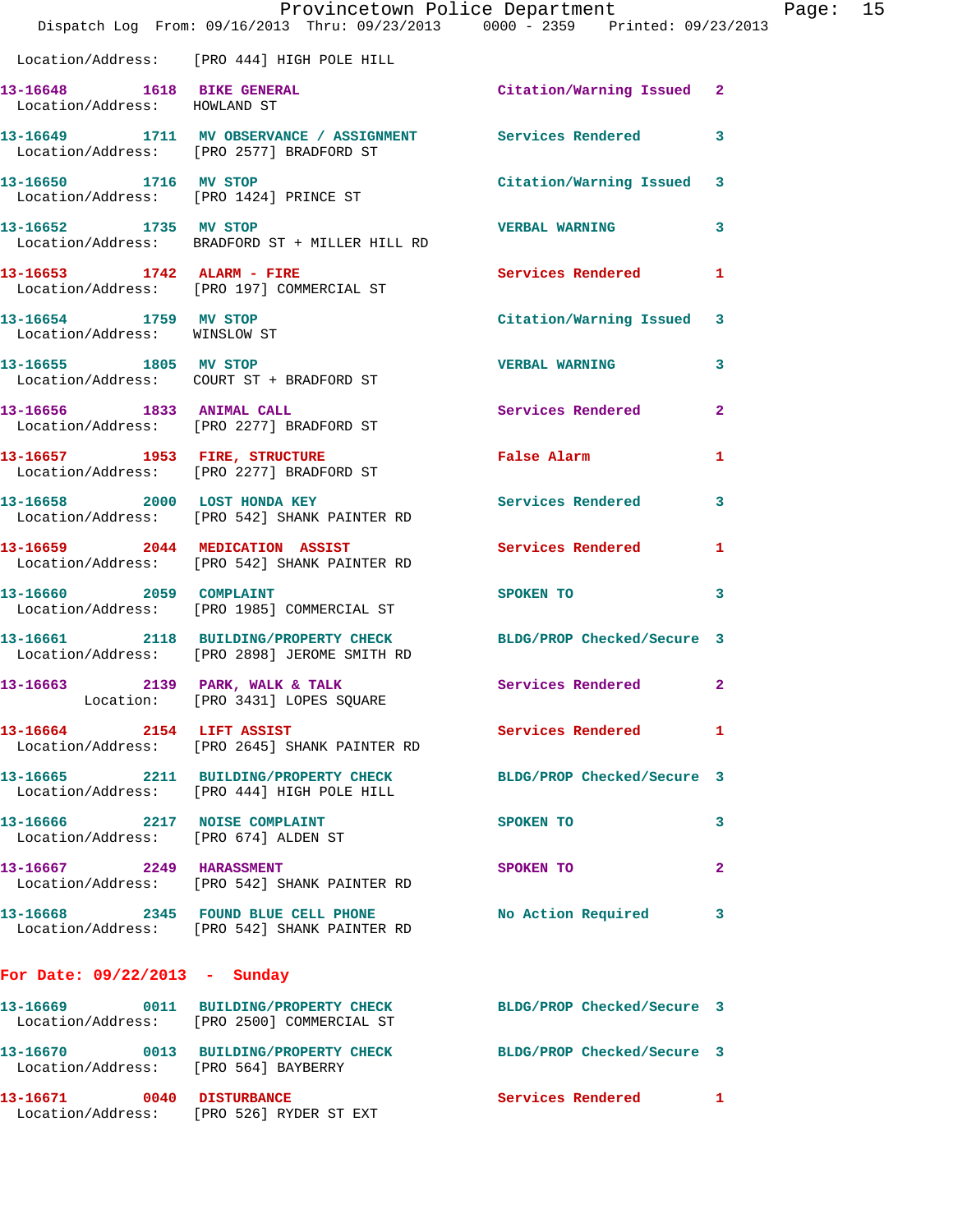|                                                            | Provincetown Police Department<br>Dispatch Log From: 09/16/2013 Thru: 09/23/2013 0000 - 2359 Printed: 09/23/2013 |                            |              |
|------------------------------------------------------------|------------------------------------------------------------------------------------------------------------------|----------------------------|--------------|
|                                                            | Location/Address: [PRO 444] HIGH POLE HILL                                                                       |                            |              |
| 13-16648 1618 BIKE GENERAL<br>Location/Address: HOWLAND ST |                                                                                                                  | Citation/Warning Issued 2  |              |
|                                                            | 13-16649 1711 MV OBSERVANCE / ASSIGNMENT Services Rendered<br>Location/Address: [PRO 2577] BRADFORD ST           |                            | 3            |
| 13-16650 1716 MV STOP                                      | Location/Address: [PRO 1424] PRINCE ST                                                                           | Citation/Warning Issued    | 3            |
| 13-16652 1735 MV STOP                                      | Location/Address: BRADFORD ST + MILLER HILL RD                                                                   | <b>VERBAL WARNING</b>      | 3            |
| 13-16653 1742 ALARM - FIRE                                 | Location/Address: [PRO 197] COMMERCIAL ST                                                                        | Services Rendered          | 1            |
| 13-16654 1759 MV STOP<br>Location/Address: WINSLOW ST      |                                                                                                                  | Citation/Warning Issued    | 3            |
| 13-16655 1805 MV STOP                                      | Location/Address: COURT ST + BRADFORD ST                                                                         | <b>VERBAL WARNING</b>      | 3            |
|                                                            | 13-16656 1833 ANIMAL CALL<br>Location/Address: [PRO 2277] BRADFORD ST                                            | Services Rendered          | $\mathbf{2}$ |
|                                                            | 13-16657 1953 FIRE, STRUCTURE<br>Location/Address: [PRO 2277] BRADFORD ST                                        | False Alarm                | 1            |
|                                                            | 13-16658 2000 LOST HONDA KEY<br>Location/Address: [PRO 542] SHANK PAINTER RD                                     | <b>Services Rendered</b>   | 3            |
|                                                            | 13-16659 2044 MEDICATION ASSIST<br>Location/Address: [PRO 542] SHANK PAINTER RD                                  | Services Rendered          | 1            |
| 13-16660 2059 COMPLAINT                                    | Location/Address: [PRO 1985] COMMERCIAL ST                                                                       | SPOKEN TO                  | 3            |
|                                                            | 13-16661 2118 BUILDING/PROPERTY CHECK<br>Location/Address: [PRO 2898] JEROME SMITH RD                            | BLDG/PROP Checked/Secure 3 |              |
| 13-16663 2139 PARK, WALK & TALK                            | Location: [PRO 3431] LOPES SQUARE                                                                                | Services Rendered          | $\mathbf{2}$ |
| 13-16664 2154 LIFT ASSIST                                  | Location/Address: [PRO 2645] SHANK PAINTER RD                                                                    | Services Rendered          | 1            |
|                                                            | 13-16665 2211 BUILDING/PROPERTY CHECK<br>Location/Address: [PRO 444] HIGH POLE HILL                              | BLDG/PROP Checked/Secure 3 |              |
| 13-16666 2217 NOISE COMPLAINT                              | Location/Address: [PRO 674] ALDEN ST                                                                             | SPOKEN TO                  | 3            |
| 13-16667 2249 HARASSMENT                                   | Location/Address: [PRO 542] SHANK PAINTER RD                                                                     | SPOKEN TO                  | 2            |
|                                                            | 13-16668 2345 FOUND BLUE CELL PHONE<br>Location/Address: [PRO 542] SHANK PAINTER RD                              | No Action Required         | 3            |
| For Date: 09/22/2013 - Sunday                              |                                                                                                                  |                            |              |
|                                                            | 13-16669 0011 BUILDING/PROPERTY CHECK BLDG/PROP Checked/Secure 3<br>Location/Address: [PRO 2500] COMMERCIAL ST   |                            |              |
|                                                            | 13-16670 0013 BUILDING/PROPERTY CHECK<br>Location/Address: [PRO 564] BAYBERRY                                    | BLDG/PROP Checked/Secure 3 |              |
| 13-16671 0040 DISTURBANCE                                  | Location/Address: [PRO 526] RYDER ST EXT                                                                         | <b>Services Rendered</b>   | 1            |

Page:  $15$ <br> $13$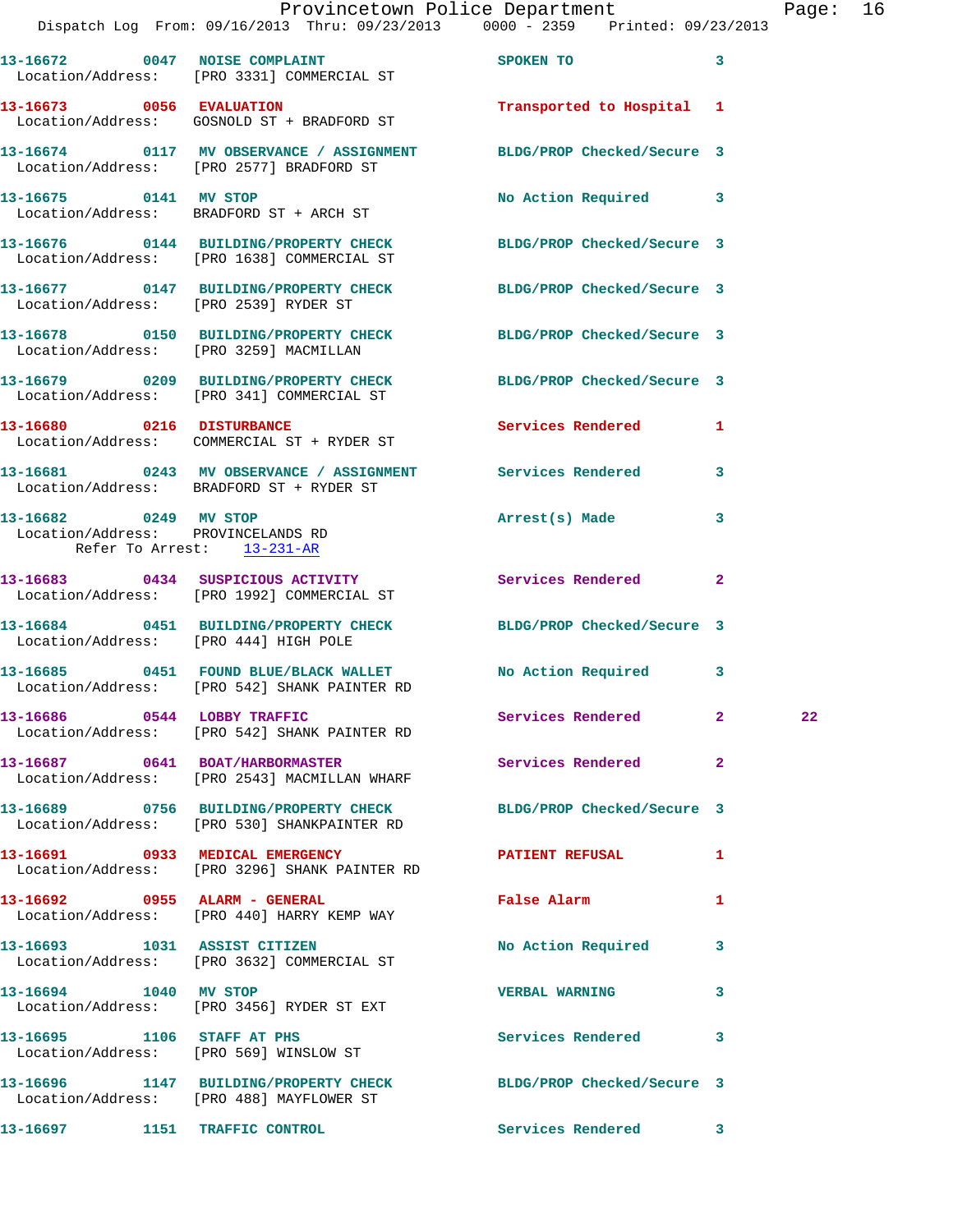|                                                                                           | Dispatch Log From: 09/16/2013 Thru: 09/23/2013 0000 - 2359 Printed: 09/23/2013                                  | Provincetown Police Department |              | Page: 16 |  |
|-------------------------------------------------------------------------------------------|-----------------------------------------------------------------------------------------------------------------|--------------------------------|--------------|----------|--|
|                                                                                           | 13-16672 0047 NOISE COMPLAINT<br>Location/Address: [PRO 3331] COMMERCIAL ST                                     | SPOKEN TO 3                    |              |          |  |
|                                                                                           | 13-16673 0056 EVALUATION<br>Location/Address: GOSNOLD ST + BRADFORD ST                                          | Transported to Hospital 1      |              |          |  |
|                                                                                           |                                                                                                                 |                                |              |          |  |
| 13-16675 0141 MV STOP                                                                     | Location/Address: BRADFORD ST + ARCH ST                                                                         | No Action Required 3           |              |          |  |
|                                                                                           | 13-16676 0144 BUILDING/PROPERTY CHECK BLDG/PROP Checked/Secure 3<br>Location/Address: [PRO 1638] COMMERCIAL ST  |                                |              |          |  |
| Location/Address: [PRO 2539] RYDER ST                                                     | 13-16677 0147 BUILDING/PROPERTY CHECK BLDG/PROP Checked/Secure 3                                                |                                |              |          |  |
|                                                                                           | 13-16678 0150 BUILDING/PROPERTY CHECK BLDG/PROP Checked/Secure 3<br>Location/Address: [PRO 3259] MACMILLAN      |                                |              |          |  |
|                                                                                           | 13-16679 0209 BUILDING/PROPERTY CHECK BLDG/PROP Checked/Secure 3<br>Location/Address: [PRO 341] COMMERCIAL ST   |                                |              |          |  |
|                                                                                           | 13-16680 0216 DISTURBANCE<br>Location/Address: COMMERCIAL ST + RYDER ST                                         | Services Rendered 1            |              |          |  |
|                                                                                           | 13-16681 0243 MV OBSERVANCE / ASSIGNMENT Services Rendered<br>Location/Address: BRADFORD ST + RYDER ST          |                                | $\mathbf{3}$ |          |  |
| 13-16682 0249 MV STOP<br>Location/Address: PROVINCELANDS RD<br>Refer To Arrest: 13-231-AR |                                                                                                                 | Arrest(s) Made                 | 3            |          |  |
|                                                                                           | 13-16683 0434 SUSPICIOUS ACTIVITY Services Rendered<br>Location/Address: [PRO 1992] COMMERCIAL ST               |                                | $\mathbf{2}$ |          |  |
| Location/Address: [PRO 444] HIGH POLE                                                     | 13-16684 0451 BUILDING/PROPERTY CHECK BLDG/PROP Checked/Secure 3                                                |                                |              |          |  |
|                                                                                           | 13-16685 0451 FOUND BLUE/BLACK WALLET No Action Required 3<br>Location/Address: [PRO 542] SHANK PAINTER RD      |                                |              |          |  |
|                                                                                           | 13-16686 0544 LOBBY TRAFFIC<br>Location/Address: [PRO 542] SHANK PAINTER RD                                     | Services Rendered 2            |              | 22       |  |
|                                                                                           | 13-16687 0641 BOAT/HARBORMASTER<br>Location/Address: [PRO 2543] MACMILLAN WHARF                                 | Services Rendered 2            |              |          |  |
|                                                                                           | 13-16689 0756 BUILDING/PROPERTY CHECK BLDG/PROP Checked/Secure 3<br>Location/Address: [PRO 530] SHANKPAINTER RD |                                |              |          |  |
|                                                                                           | 13-16691 0933 MEDICAL EMERGENCY<br>Location/Address: [PRO 3296] SHANK PAINTER RD                                | PATIENT REFUSAL                | $\mathbf{1}$ |          |  |
| 13-16692 0955 ALARM - GENERAL                                                             | Location/Address: [PRO 440] HARRY KEMP WAY                                                                      | <b>False Alarm</b>             | 1            |          |  |
|                                                                                           | 13-16693 1031 ASSIST CITIZEN<br>Location/Address: [PRO 3632] COMMERCIAL ST                                      | No Action Required 3           |              |          |  |
| 13-16694 1040 MV STOP                                                                     | Location/Address: [PRO 3456] RYDER ST EXT                                                                       | <b>VERBAL WARNING</b>          | 3            |          |  |
|                                                                                           | 13-16695 1106 STAFF AT PHS<br>Location/Address: [PRO 569] WINSLOW ST                                            | Services Rendered 3            |              |          |  |
|                                                                                           | 13-16696 1147 BUILDING/PROPERTY CHECK BLDG/PROP Checked/Secure 3<br>Location/Address: [PRO 488] MAYFLOWER ST    |                                |              |          |  |
| 13-16697 1151 TRAFFIC CONTROL                                                             |                                                                                                                 | Services Rendered 3            |              |          |  |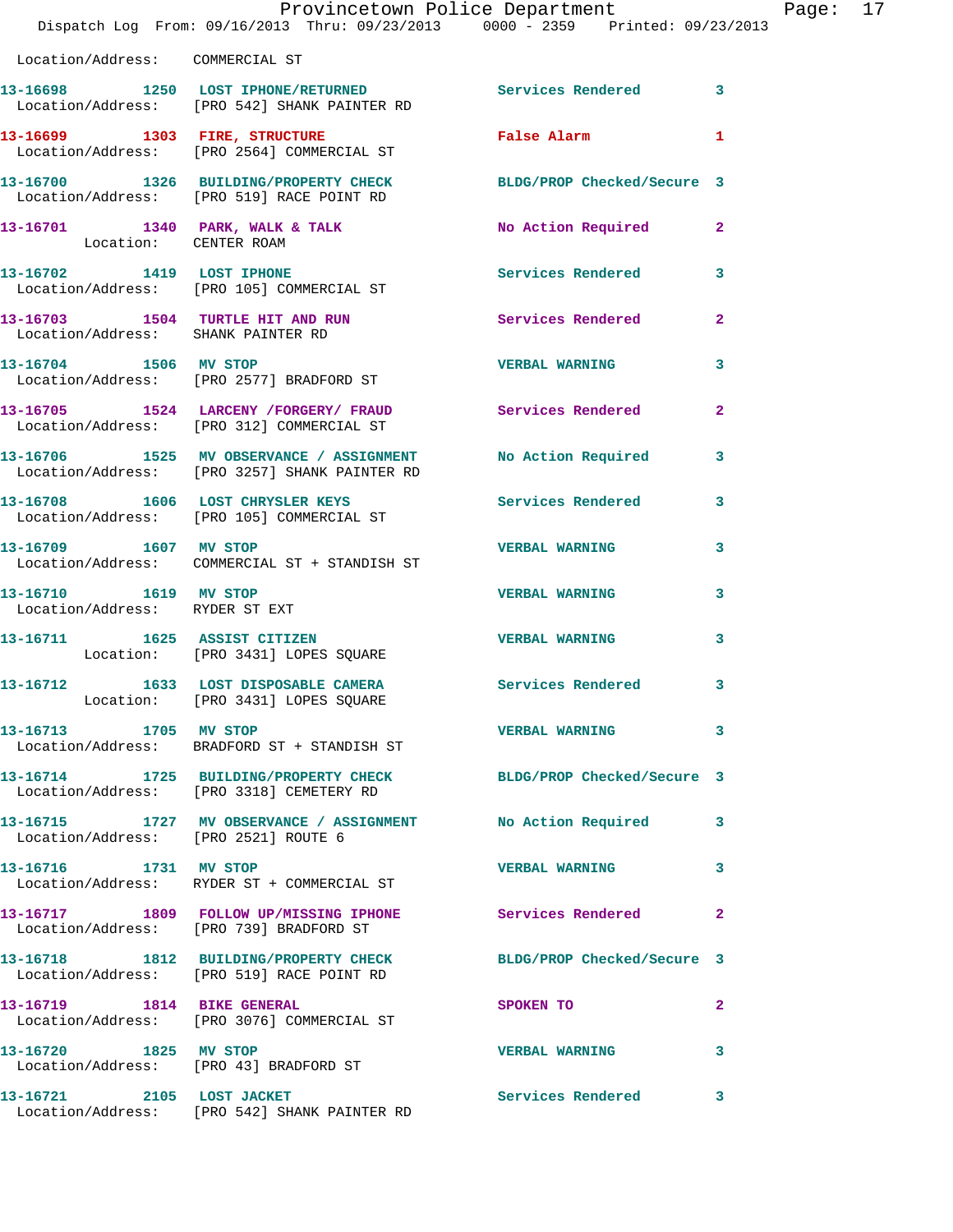|                                                         | Dispatch Log From: 09/16/2013 Thru: 09/23/2013 0000 - 2359 Printed: 09/23/2013                                 | Provincetown Police Department          |                | Page: 17 |  |
|---------------------------------------------------------|----------------------------------------------------------------------------------------------------------------|-----------------------------------------|----------------|----------|--|
| Location/Address: COMMERCIAL ST                         |                                                                                                                |                                         |                |          |  |
|                                                         | 13-16698 1250 LOST IPHONE/RETURNED Services Rendered 3<br>Location/Address: [PRO 542] SHANK PAINTER RD         |                                         |                |          |  |
|                                                         | 13-16699 1303 FIRE, STRUCTURE <b>False Alarm</b> 1<br>Location/Address: [PRO 2564] COMMERCIAL ST               |                                         |                |          |  |
|                                                         | 13-16700 1326 BUILDING/PROPERTY CHECK BLDG/PROP Checked/Secure 3<br>Location/Address: [PRO 519] RACE POINT RD  |                                         |                |          |  |
| Location: CENTER ROAM                                   | 13-16701 1340 PARK, WALK & TALK NO Action Required 2                                                           |                                         |                |          |  |
|                                                         | 13-16702 1419 LOST IPHONE<br>Location/Address: [PRO 105] COMMERCIAL ST                                         | Services Rendered 3                     |                |          |  |
| Location/Address: SHANK PAINTER RD                      | 13-16703 1504 TURTLE HIT AND RUN                                                                               | Services Rendered                       | $\overline{2}$ |          |  |
|                                                         | 13-16704 1506 MV STOP<br>Location/Address: [PRO 2577] BRADFORD ST                                              | VERBAL WARNING 3                        |                |          |  |
|                                                         | 13-16705 1524 LARCENY /FORGERY / FRAUD Services Rendered 2<br>Location/Address: [PRO 312] COMMERCIAL ST        |                                         |                |          |  |
|                                                         | 13-16706 1525 MV OBSERVANCE / ASSIGNMENT No Action Required 3<br>Location/Address: [PRO 3257] SHANK PAINTER RD |                                         |                |          |  |
|                                                         | 13-16708 1606 LOST CHRYSLER KEYS Services Rendered<br>Location/Address: [PRO 105] COMMERCIAL ST                |                                         | $\mathbf{3}$   |          |  |
| 13-16709 1607 MV STOP                                   | Location/Address: COMMERCIAL ST + STANDISH ST                                                                  | <b>VERBAL WARNING</b>                   | $\mathbf{3}$   |          |  |
| 13-16710 1619 MV STOP<br>Location/Address: RYDER ST EXT |                                                                                                                | <b>VERBAL WARNING</b>                   | 3              |          |  |
|                                                         | 13-16711 1625 ASSIST CITIZEN<br>Location: [PRO 3431] LOPES SQUARE                                              | <b>VERBAL WARNING</b>                   | 3              |          |  |
|                                                         | 13-16712 1633 LOST DISPOSABLE CAMERA Services Rendered<br>Location: [PRO 3431] LOPES SQUARE                    |                                         | $\mathbf{3}$   |          |  |
| 13-16713 1705 MV STOP                                   | Location/Address: BRADFORD ST + STANDISH ST                                                                    | <b>VERBAL WARNING</b>                   | 3              |          |  |
|                                                         | 13-16714 1725 BUILDING/PROPERTY CHECK BLDG/PROP Checked/Secure 3<br>Location/Address: [PRO 3318] CEMETERY RD   |                                         |                |          |  |
| Location/Address: [PRO 2521] ROUTE 6                    | 13-16715 1727 MV OBSERVANCE / ASSIGNMENT No Action Required 3                                                  |                                         |                |          |  |
|                                                         | 13-16716 1731 MV STOP<br>Location/Address: RYDER ST + COMMERCIAL ST                                            | <b>VERBAL WARNING</b>                   | $\sim$ 3       |          |  |
|                                                         | 13-16717 1809 FOLLOW UP/MISSING IPHONE Services Rendered 2<br>Location/Address: [PRO 739] BRADFORD ST          |                                         |                |          |  |
|                                                         | 13-16718 1812 BUILDING/PROPERTY CHECK BLDG/PROP Checked/Secure 3<br>Location/Address: [PRO 519] RACE POINT RD  |                                         |                |          |  |
| 13-16719 1814 BIKE GENERAL                              | Location/Address: [PRO 3076] COMMERCIAL ST                                                                     | SPOKEN TO DESCRIPTION OF REAL PROPERTY. | $\mathbf{2}$   |          |  |
|                                                         | 13-16720 1825 MV STOP<br>Location/Address: [PRO 43] BRADFORD ST                                                | <b>VERBAL WARNING</b>                   | 3              |          |  |
| 13-16721 2105 LOST JACKET                               | Location/Address: [PRO 542] SHANK PAINTER RD                                                                   | Services Rendered 3                     |                |          |  |